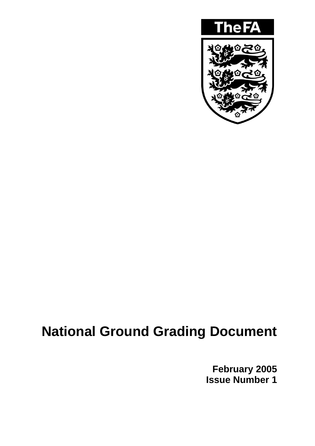

# **National Ground Grading Document**

**February 2005 Issue Number 1**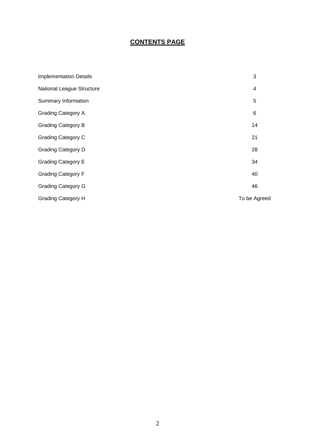# **CONTENTS PAGE**

| <b>Implementation Details</b> | 3            |
|-------------------------------|--------------|
| National League Structure     | 4            |
| Summary Information           | 5            |
| <b>Grading Category A</b>     | 6            |
| <b>Grading Category B</b>     | 14           |
| <b>Grading Category C</b>     | 21           |
| <b>Grading Category D</b>     | 28           |
| <b>Grading Category E</b>     | 34           |
| <b>Grading Category F</b>     | 40           |
| <b>Grading Category G</b>     | 46           |
| <b>Grading Category H</b>     | To be Agreed |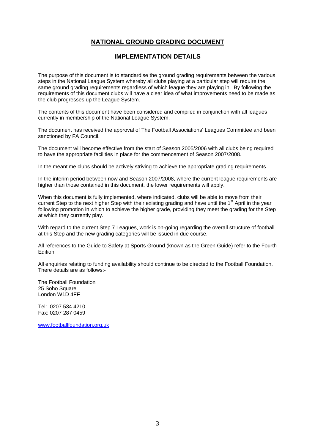## **NATIONAL GROUND GRADING DOCUMENT**

#### **IMPLEMENTATION DETAILS**

The purpose of this document is to standardise the ground grading requirements between the various steps in the National League System whereby all clubs playing at a particular step will require the same ground grading requirements regardless of which league they are playing in. By following the requirements of this document clubs will have a clear idea of what improvements need to be made as the club progresses up the League System.

The contents of this document have been considered and compiled in conjunction with all leagues currently in membership of the National League System.

The document has received the approval of The Football Associations' Leagues Committee and been sanctioned by FA Council.

The document will become effective from the start of Season 2005/2006 with all clubs being required to have the appropriate facilities in place for the commencement of Season 2007/2008.

In the meantime clubs should be actively striving to achieve the appropriate grading requirements.

In the interim period between now and Season 2007/2008, where the current league requirements are higher than those contained in this document, the lower requirements will apply.

When this document is fully implemented, where indicated, clubs will be able to move from their current Step to the next higher Step with their existing grading and have until the 1<sup>st</sup> April in the year following promotion in which to achieve the higher grade, providing they meet the grading for the Step at which they currently play.

With regard to the current Step 7 Leagues, work is on-going regarding the overall structure of football at this Step and the new grading categories will be issued in due course.

All references to the Guide to Safety at Sports Ground (known as the Green Guide) refer to the Fourth Edition.

All enquiries relating to funding availability should continue to be directed to the Football Foundation. There details are as follows:-

The Football Foundation 25 Soho Square London W1D 4FF

Tel: 0207 534 4210 Fax: 0207 287 0459

[www.footballfoundation.org.uk](http://www.footballfoundation.org.uk/)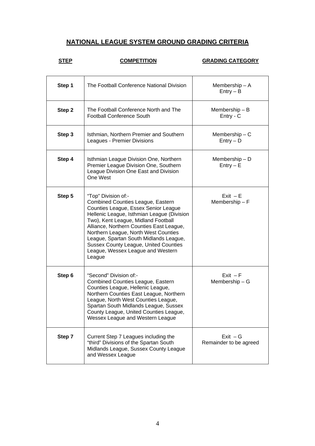# **NATIONAL LEAGUE SYSTEM GROUND GRADING CRITERIA**

# **STEP COMPETITION GRADING CATEGORY**

h

| Step 1 | The Football Conference National Division                                                                                                                                                                                                                                                                                                                                                                                 | Membership $-$ A<br>$Entry - B$      |
|--------|---------------------------------------------------------------------------------------------------------------------------------------------------------------------------------------------------------------------------------------------------------------------------------------------------------------------------------------------------------------------------------------------------------------------------|--------------------------------------|
| Step 2 | The Football Conference North and The<br><b>Football Conference South</b>                                                                                                                                                                                                                                                                                                                                                 | Membership $- B$<br>Entry - C        |
| Step 3 | Isthmian, Northern Premier and Southern<br>Leagues - Premier Divisions                                                                                                                                                                                                                                                                                                                                                    | Membership $- C$<br>$Entry - D$      |
| Step 4 | Isthmian League Division One, Northern<br>Premier League Division One, Southern<br>League Division One East and Division<br>One West                                                                                                                                                                                                                                                                                      | Membership $- D$<br>$Entry - E$      |
| Step 5 | "Top" Division of:-<br><b>Combined Counties League, Eastern</b><br>Counties League, Essex Senior League<br>Hellenic League, Isthmian League (Division<br>Two), Kent League, Midland Football<br>Alliance, Northern Counties East League,<br>Northern League, North West Counties<br>League, Spartan South Midlands League,<br><b>Sussex County League, United Counties</b><br>League, Wessex League and Western<br>League | $Exit - E$<br>Membership $- F$       |
| Step 6 | "Second" Division of:-<br><b>Combined Counties League, Eastern</b><br>Counties League, Hellenic League,<br>Northern Counties East League, Northern<br>League, North West Counties League,<br>Spartan South Midlands League, Sussex<br>County League, United Counties League,<br>Wessex League and Western League                                                                                                          | $Exit - F$<br>Membership $-$ G       |
| Step 7 | Current Step 7 Leagues including the<br>"third" Divisions of the Spartan South<br>Midlands League, Sussex County League<br>and Wessex League                                                                                                                                                                                                                                                                              | $Exit - G$<br>Remainder to be agreed |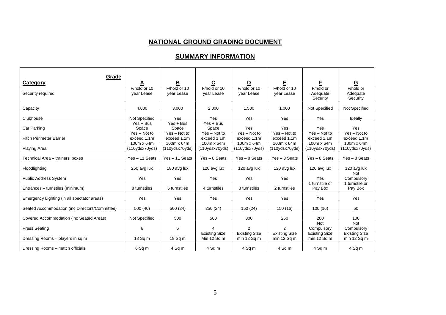#### **NATIONAL GROUND GRADING DOCUMENT**

#### **SUMMARY INFORMATION**

| <b>Grade</b><br>Category                       |                               | В                             | $\mathbf{C}$                        | D                                       | Е                                       | F                                       | G                                     |
|------------------------------------------------|-------------------------------|-------------------------------|-------------------------------------|-----------------------------------------|-----------------------------------------|-----------------------------------------|---------------------------------------|
| Security required                              | F/hold or 10<br>year Lease    | F/hold or 10<br>year Lease    | F/hold or 10<br>year Lease          | F/hold or 10<br>year Lease              | F/hold or 10<br>year Lease              | F/hold or<br>Adequate<br>Security       | F/hold or<br>Adequate<br>Security     |
| Capacity                                       | 4.000                         | 3,000                         | 2.000                               | 1.500                                   | 1.000                                   | Not Specified                           | Not Specified                         |
| Clubhouse                                      | Not Specified                 | Yes                           | Yes                                 | Yes                                     | Yes                                     | Yes                                     | Ideally                               |
| Car Parking                                    | $Yes + Bus$<br>Space          | $Yes + Bus$<br>Space          | $Yes + Bus$<br>Space                | Yes                                     | Yes                                     | Yes                                     | Yes                                   |
| <b>Pitch Perimeter Barrier</b>                 | $Yes - Not to$<br>exceed 1.1m | $Yes - Not to$<br>exceed 1.1m | $Yes - Not to$<br>exceed 1.1m       | $Yes - Not to$<br>exceed 1.1m           | $Yes - Not to$<br>exceed 1.1m           | $Yes - Not to$<br>exceed 1.1m           | $Yes - Not to$<br>exceed 1.1m         |
| <b>Playing Area</b>                            | 100m x 64m<br>(110ydsx70yds)  | 100m x 64m<br>(110ydsx70yds)  | 100m x 64m<br>(110ydsx70yds)        | 100m x 64m<br>(110ydsx70yds)            | 100m x 64m<br>(110ydsx70yds)            | 100m x 64m<br>(110ydsx70yds)            | 100m x 64m<br>(110ydsx70yds)          |
| Technical Area - trainers' boxes               | Yes - 11 Seats                | Yes - 11 Seats                | $Yes - 8 Sets$                      | $Yes - 8 Sets$                          | $Yes - 8 Sets$                          | $Yes - 8 Sets$                          | $Yes - 8 Sets$                        |
| Floodlighting                                  | 250 avg lux                   | 180 avg lux                   | 120 avg lux                         | 120 avg lux                             | 120 avg lux                             | 120 avg lux                             | 120 avg lux                           |
| <b>Public Address System</b>                   | Yes                           | Yes                           | Yes                                 | Yes                                     | Yes                                     | Yes                                     | Not<br>Compulsory                     |
| Entrances - turnstiles (minimum)               | 8 turnstiles                  | 6 turnstiles                  | 4 turnstiles                        | 3 turnstiles                            | 2 turnstiles                            | 1 turnstile or<br>Pay Box               | 1 turnstile or<br>Pay Box             |
| Emergency Lighting (in all spectator areas)    | Yes                           | Yes                           | Yes                                 | Yes                                     | Yes                                     | Yes                                     | Yes                                   |
| Seated Accommodation (inc Directors/Committee) | 500(40)                       | 500 (24)                      | 250 (24)                            | 150 (24)                                | 150 (16)                                | 100(16)                                 | 50                                    |
| Covered Accommodation (inc Seated Areas)       | Not Specified                 | 500                           | 500                                 | 300                                     | 250                                     | 200                                     | 100                                   |
| <b>Press Seating</b>                           | 6                             | 6                             |                                     | 2                                       | $\mathcal{P}$                           | <b>Not</b><br>Compulsory                | <b>Not</b><br>Compulsory              |
| Dressing Rooms - players in sq m               | 18 Sq m                       | 18 Sq m                       | <b>Existing Size</b><br>Min 12 Sq m | <b>Existing Size</b><br>$min 12$ Sq $m$ | <b>Existing Size</b><br>$min 12$ Sq $m$ | <b>Existing Size</b><br>$min 12$ Sq $m$ | <b>Existing Size</b><br>min $12$ Sq m |
| Dressing Rooms - match officials               | 6 Sq m                        | 4 Sq m                        | 4 Sq m                              | 4 Sq m                                  | 4 Sq m                                  | 4 Sq m                                  | 4 Sq m                                |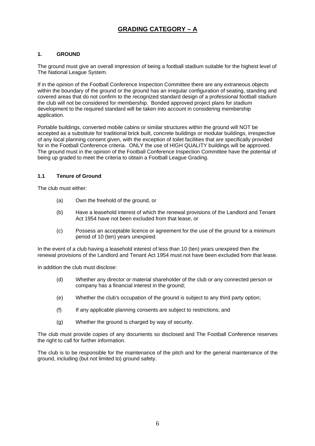# **GRADING CATEGORY – A**

#### **1. GROUND**

The ground must give an overall impression of being a football stadium suitable for the highest level of The National League System.

If in the opinion of the Football Conference Inspection Committee there are any extraneous objects within the boundary of the ground or the ground has an irregular configuration of seating, standing and covered areas that do not confirm to the recognized standard design of a professional football stadium the club will not be considered for membership. Bonded approved project plans for stadium development to the required standard will be taken into account in considering membership application.

Portable buildings, converted mobile cabins or similar structures within the ground will NOT be accepted as a substitute for traditional brick built, concrete buildings or modular buildings, irrespective of any local planning consent given, with the exception of toilet facilities that are specifically provided for in the Football Conference criteria. ONLY the use of HIGH QUALITY buildings will be approved. The ground must in the opinion of the Football Conference Inspection Committee have the potential of being up graded to meet the criteria to obtain a Football League Grading.

#### **1.1 Tenure of Ground**

The club must either:

- (a) Own the freehold of the ground, or
- (b) Have a leasehold interest of which the renewal provisions of the Landlord and Tenant Act 1954 have not been excluded from that lease, or
- (c) Possess an acceptable licence or agreement for the use of the ground for a minimum period of 10 (ten) years unexpired.

In the event of a club having a leasehold interest of less than 10 (ten) years unexpired then the renewal provisions of the Landlord and Tenant Act 1954 must not have been excluded from that lease.

In addition the club must disclose:

- (d) Whether any director or material shareholder of the club or any connected person or company has a financial interest in the ground;
- (e) Whether the club's occupation of the ground is subject to any third party option;
- (f) If any applicable planning consents are subject to restrictions; and
- (g) Whether the ground is charged by way of security.

The club must provide copies of any documents so disclosed and The Football Conference reserves the right to call for further information.

The club is to be responsible for the maintenance of the pitch and for the general maintenance of the ground, including (but not limited to) ground safety.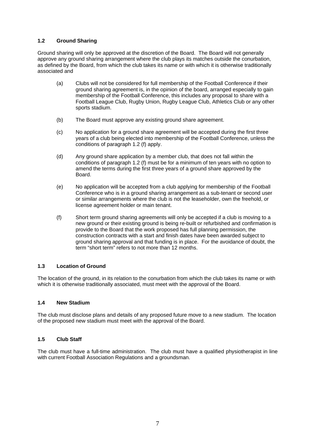#### **1.2 Ground Sharing**

Ground sharing will only be approved at the discretion of the Board. The Board will not generally approve any ground sharing arrangement where the club plays its matches outside the conurbation, as defined by the Board, from which the club takes its name or with which it is otherwise traditionally associated and

- (a) Clubs will not be considered for full membership of the Football Conference if their ground sharing agreement is, in the opinion of the board, arranged especially to gain membership of the Football Conference, this includes any proposal to share with a Football League Club, Rugby Union, Rugby League Club, Athletics Club or any other sports stadium.
- (b) The Board must approve any existing ground share agreement.
- (c) No application for a ground share agreement will be accepted during the first three years of a club being elected into membership of the Football Conference, unless the conditions of paragraph 1.2 (f) apply.
- (d) Any ground share application by a member club, that does not fall within the conditions of paragraph 1.2 (f) must be for a minimum of ten years with no option to amend the terms during the first three years of a ground share approved by the Board.
- (e) No application will be accepted from a club applying for membership of the Football Conference who is in a ground sharing arrangement as a sub-tenant or second user or similar arrangements where the club is not the leaseholder, own the freehold, or license agreement holder or main tenant.
- (f) Short term ground sharing agreements will only be accepted if a club is moving to a new ground or their existing ground is being re-built or refurbished and confirmation is provide to the Board that the work proposed has full planning permission, the construction contracts with a start and finish dates have been awarded subject to ground sharing approval and that funding is in place. For the avoidance of doubt, the term "short term" refers to not more than 12 months.

#### **1.3 Location of Ground**

The location of the ground, in its relation to the conurbation from which the club takes its name or with which it is otherwise traditionally associated, must meet with the approval of the Board.

#### **1.4 New Stadium**

The club must disclose plans and details of any proposed future move to a new stadium. The location of the proposed new stadium must meet with the approval of the Board.

#### **1.5 Club Staff**

The club must have a full-time administration. The club must have a qualified physiotherapist in line with current Football Association Regulations and a groundsman.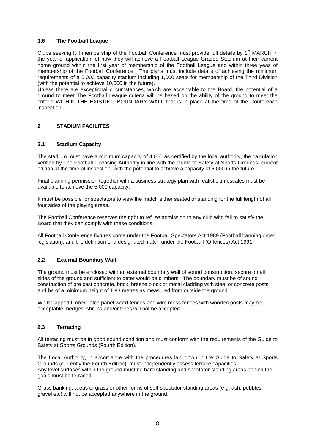#### **1.6 The Football League**

Clubs seeking full membership of the Football Conference must provide full details by 1<sup>st</sup> MARCH in the year of application, of how they will achieve a Football League Graded Stadium at their current home ground within the first year of membership of the Football League and within three yeas of membership of the Football Conference. The plans must include details of achieving the minimum requirements of a 5,000 capacity stadium including 1,000 seats for membership of the Third Division (with the potential to achieve 10,000 in the future).

Unless there are exceptional circumstances, which are acceptable to the Board, the potential of a ground to meet The Football League criteria will be based on the ability of the ground to meet the criteria WITHIN THE EXISTING BOUNDARY WALL that is in place at the time of the Conference inspection.

#### **2 STADIUM FACILITES**

#### **2.1 Stadium Capacity**

The stadium must have a minimum capacity of 4,000 as certified by the local authority, the calculation verified by The Football Licensing Authority in line with the Guide to Safety at Sports Grounds, current edition at the time of inspection, with the potential to achieve a capacity of 5,000 in the future.

Final planning permission together with a business strategy plan with realistic timescales must be available to achieve the 5,000 capacity.

It must be possible for spectators to view the match either seated or standing for the full length of all four sides of the playing areas.

The Football Conference reserves the right to refuse admission to any club who fail to satisfy the Board that they can comply with these conditions.

All Football Conference fixtures come under the Football Spectators Act 1989 (Football banning order legislation), and the definition of a designated match under the Football (Offences) Act 1991

#### **2.2 External Boundary Wall**

The ground must be enclosed with an external boundary wall of sound construction, secure on all sides of the ground and sufficient to deter would be climbers. The boundary must be of sound construction of pre cast concrete, brick, breeze block or metal cladding with steel or concrete posts and be of a minimum height of 1.83 metres as measured from outside the ground.

Whilst lapped timber, latch panel wood fences and wire mess fences with wooden posts may be acceptable, hedges, shrubs and/or trees will not be accepted.

#### **2.3 Terracing**

All terracing must be in good sound condition and must conform with the requirements of the Guide to Safety at Sports Grounds (Fourth Edition).

The Local Authority, in accordance with the procedures laid down in the Guide to Safety at Sports Grounds (currently the Fourth Edition), must independently assess terrace capacities. Any level surfaces within the ground must be hard standing and spectator-standing areas behind the goals must be terraced.

Grass banking, areas of grass or other forms of soft spectator standing areas (e.g. ash, pebbles, gravel etc) will not be accepted anywhere in the ground.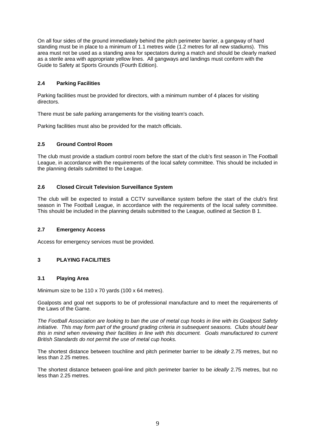On all four sides of the ground immediately behind the pitch perimeter barrier, a gangway of hard standing must be in place to a minimum of 1.1 metres wide (1.2 metres for all new stadiums). This area must not be used as a standing area for spectators during a match and should be clearly marked as a sterile area with appropriate yellow lines. All gangways and landings must conform with the Guide to Safety at Sports Grounds (Fourth Edition).

#### **2.4 Parking Facilities**

Parking facilities must be provided for directors, with a minimum number of 4 places for visiting directors.

There must be safe parking arrangements for the visiting team's coach.

Parking facilities must also be provided for the match officials.

#### **2.5 Ground Control Room**

The club must provide a stadium control room before the start of the club's first season in The Football League, in accordance with the requirements of the local safety committee. This should be included in the planning details submitted to the League.

#### **2.6 Closed Circuit Television Surveillance System**

The club will be expected to install a CCTV surveillance system before the start of the club's first season in The Football League, in accordance with the requirements of the local safety committee. This should be included in the planning details submitted to the League, outlined at Section B 1.

#### **2.7 Emergency Access**

Access for emergency services must be provided.

#### **3 PLAYING FACILITIES**

#### **3.1 Playing Area**

Minimum size to be 110 x 70 yards (100 x 64 metres).

Goalposts and goal net supports to be of professional manufacture and to meet the requirements of the Laws of the Game.

*The Football Association are looking to ban the use of metal cup hooks in line with its Goalpost Safety initiative. This may form part of the ground grading criteria in subsequent seasons. Clubs should bear this in mind when reviewing their facilities in line with this document. Goals manufactured to current British Standards do not permit the use of metal cup hooks.* 

The shortest distance between touchline and pitch perimeter barrier to be *ideally* 2.75 metres, but no less than 2.25 metres.

The shortest distance between goal-line and pitch perimeter barrier to be *ideally* 2.75 metres, but no less than 2.25 metres.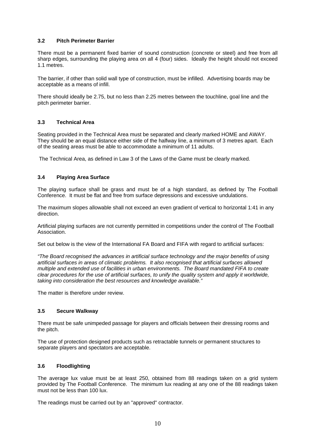#### **3.2 Pitch Perimeter Barrier**

There must be a permanent fixed barrier of sound construction (concrete or steel) and free from all sharp edges, surrounding the playing area on all 4 (four) sides. Ideally the height should not exceed 1.1 metres.

The barrier, if other than solid wall type of construction, must be infilled. Advertising boards may be acceptable as a means of infill.

There should ideally be 2.75, but no less than 2.25 metres between the touchline, goal line and the pitch perimeter barrier.

#### **3.3 Technical Area**

Seating provided in the Technical Area must be separated and clearly marked HOME and AWAY. They should be an equal distance either side of the halfway line, a minimum of 3 metres apart. Each of the seating areas must be able to accommodate a minimum of 11 adults.

The Technical Area, as defined in Law 3 of the Laws of the Game must be clearly marked.

#### **3.4 Playing Area Surface**

The playing surface shall be grass and must be of a high standard, as defined by The Football Conference. It must be flat and free from surface depressions and excessive undulations.

The maximum slopes allowable shall not exceed an even gradient of vertical to horizontal 1:41 in any direction.

Artificial playing surfaces are not currently permitted in competitions under the control of The Football Association.

Set out below is the view of the International FA Board and FIFA with regard to artificial surfaces:

*"The Board recognised the advances in artificial surface technology and the major benefits of using artificial surfaces in areas of climatic problems. It also recognised that artificial surfaces allowed multiple and extended use of facilities in urban environments. The Board mandated FIFA to create clear procedures for the use of artificial surfaces, to unify the quality system and apply it worldwide, taking into consideration the best resources and knowledge available."* 

The matter is therefore under review.

#### **3.5 Secure Walkway**

There must be safe unimpeded passage for players and officials between their dressing rooms and the pitch.

The use of protection designed products such as retractable tunnels or permanent structures to separate players and spectators are acceptable.

#### **3.6 Floodlighting**

The average lux value must be at least 250, obtained from 88 readings taken on a grid system provided by The Football Conference. The minimum lux reading at any one of the 88 readings taken must not be less than 100 lux.

The readings must be carried out by an "approved" contractor.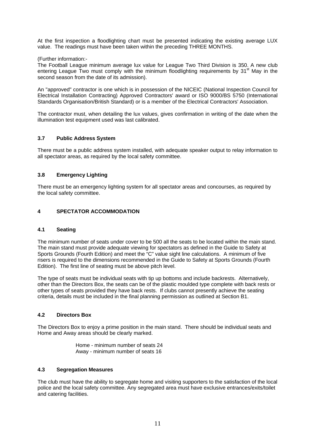At the first inspection a floodlighting chart must be presented indicating the existing average LUX value. The readings must have been taken within the preceding THREE MONTHS.

(Further information:-

The Football League minimum average lux value for League Two Third Division is 350. A new club entering League Two must comply with the minimum floodlighting requirements by 31<sup>st</sup> May in the second season from the date of its admission).

An "approved" contractor is one which is in possession of the NICEIC (National Inspection Council for Electrical Installation Contracting) Approved Contractors' award or ISO 9000/BS 5750 (International Standards Organisation/British Standard) or is a member of the Electrical Contractors' Association.

The contractor must, when detailing the lux values, gives confirmation in writing of the date when the illumination test equipment used was last calibrated.

#### **3.7 Public Address System**

There must be a public address system installed, with adequate speaker output to relay information to all spectator areas, as required by the local safety committee.

#### **3.8 Emergency Lighting**

There must be an emergency lighting system for all spectator areas and concourses, as required by the local safety committee.

#### **4 SPECTATOR ACCOMMODATION**

#### **4.1 Seating**

The minimum number of seats under cover to be 500 all the seats to be located within the main stand. The main stand must provide adequate viewing for spectators as defined in the Guide to Safety at Sports Grounds (Fourth Edition) and meet the "C" value sight line calculations. A minimum of five risers is required to the dimensions recommended in the Guide to Safety at Sports Grounds (Fourth Edition). The first line of seating must be above pitch level.

The type of seats must be individual seats with tip up bottoms and include backrests. Alternatively, other than the Directors Box, the seats can be of the plastic moulded type complete with back rests or other types of seats provided they have back rests. If clubs cannot presently achieve the seating criteria, details must be included in the final planning permission as outlined at Section B1.

#### **4.2 Directors Box**

The Directors Box to enjoy a prime position in the main stand. There should be individual seats and Home and Away areas should be clearly marked.

> Home - minimum number of seats 24 Away - minimum number of seats 16

#### **4.3 Segregation Measures**

The club must have the ability to segregate home and visiting supporters to the satisfaction of the local police and the local safety committee. Any segregated area must have exclusive entrances/exits/toilet and catering facilities.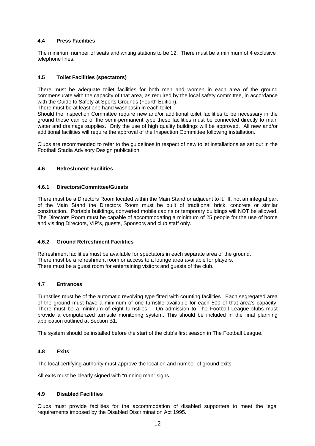#### **4.4 Press Facilities**

The minimum number of seats and writing stations to be 12. There must be a minimum of 4 exclusive telephone lines.

#### **4.5 Toilet Facilities (spectators)**

There must be adequate toilet facilities for both men and women in each area of the ground commensurate with the capacity of that area, as required by the local safety committee, in accordance with the Guide to Safety at Sports Grounds (Fourth Edition).

There must be at least one hand washbasin in each toilet.

Should the Inspection Committee require new and/or additional toilet facilities to be necessary in the ground these can be of the semi-permanent type these facilities must be connected directly to main water and drainage supplies. Only the use of high quality buildings will be approved. All new and/or additional facilities will require the approval of the Inspection Committee following installation.

Clubs are recommended to refer to the guidelines in respect of new toilet installations as set out in the Football Stadia Advisory Design publication.

#### **4.6 Refreshment Facilities**

#### **4.6.1 Directors/Committee/Guests**

There must be a Directors Room located within the Main Stand or adjacent to it. If, not an integral part of the Main Stand the Directors Room must be built of traditional brick, concrete or similar construction. Portable buildings, converted mobile cabins or temporary buildings will NOT be allowed. The Directors Room must be capable of accommodating a minimum of 25 people for the use of home and visiting Directors, VIP's, guests, Sponsors and club staff only.

#### **4.6.2 Ground Refreshment Facilities**

Refreshment facilities must be available for spectators in each separate area of the ground. There must be a refreshment room or access to a lounge area available for players. There must be a guest room for entertaining visitors and guests of the club.

#### **4.7 Entrances**

Turnstiles must be of the automatic revolving type fitted with counting facilities. Each segregated area of the ground must have a minimum of one turnstile available for each 500 of that area's capacity. There must be a minimum of eight turnstiles. On admission to The Football League clubs must provide a computerized turnstile monitoring system. This should be included in the final planning application outlined at Section B1.

The system should be installed before the start of the club's first season in The Football League.

#### **4.8 Exits**

The local certifying authority must approve the location and number of ground exits.

All exits must be clearly signed with "running man" signs.

#### **4.9 Disabled Facilities**

Clubs must provide facilities for the accommodation of disabled supporters to meet the legal requirements imposed by the Disabled Discrimination Act 1995.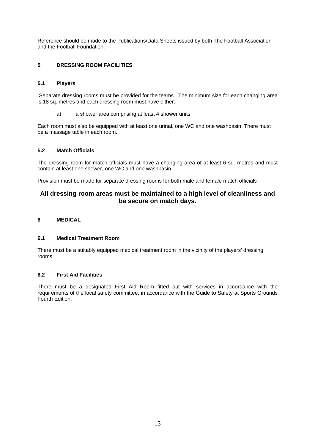Reference should be made to the Publications/Data Sheets issued by both The Football Association and the Football Foundation.

#### **5 DRESSING ROOM FACILITIES**

#### **5.1 Players**

 Separate dressing rooms must be provided for the teams. The minimum size for each changing area is 18 sq. metres and each dressing room must have either:-

a) a shower area comprising at least 4 shower units

Each room must also be equipped with at least one urinal, one WC and one washbasin. There must be a massage table in each room.

#### **5.2 Match Officials**

The dressing room for match officials must have a changing area of at least 6 sq. metres and must contain at least one shower, one WC and one washbasin.

Provision must be made for separate dressing rooms for both male and female match officials

### **All dressing room areas must be maintained to a high level of cleanliness and be secure on match days.**

#### **6 MEDICAL**

#### **6.1 Medical Treatment Room**

There must be a suitably equipped medical treatment room in the vicinity of the players' dressing rooms.

#### **6.2 First Aid Facilities**

There must be a designated First Aid Room fitted out with services in accordance with the requirements of the local safety committee, in accordance with the Guide to Safety at Sports Grounds Fourth Edition.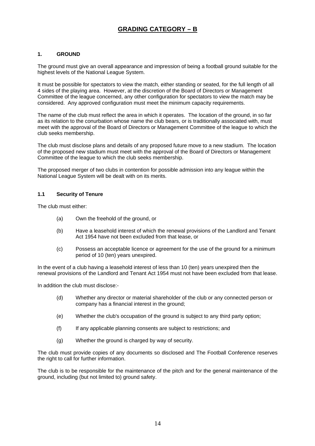# **GRADING CATEGORY – B**

#### **1. GROUND**

The ground must give an overall appearance and impression of being a football ground suitable for the highest levels of the National League System.

It must be possible for spectators to view the match, either standing or seated, for the full length of all 4 sides of the playing area. However, at the discretion of the Board of Directors or Management Committee of the league concerned, any other configuration for spectators to view the match may be considered. Any approved configuration must meet the minimum capacity requirements.

The name of the club must reflect the area in which it operates. The location of the ground, in so far as its relation to the conurbation whose name the club bears, or is traditionally associated with, must meet with the approval of the Board of Directors or Management Committee of the league to which the club seeks membership.

The club must disclose plans and details of any proposed future move to a new stadium. The location of the proposed new stadium must meet with the approval of the Board of Directors or Management Committee of the league to which the club seeks membership.

The proposed merger of two clubs in contention for possible admission into any league within the National League System will be dealt with on its merits.

#### **1.1 Security of Tenure**

The club must either:

- (a) Own the freehold of the ground, or
- (b) Have a leasehold interest of which the renewal provisions of the Landlord and Tenant Act 1954 have not been excluded from that lease, or
- (c) Possess an acceptable licence or agreement for the use of the ground for a minimum period of 10 (ten) years unexpired.

In the event of a club having a leasehold interest of less than 10 (ten) years unexpired then the renewal provisions of the Landlord and Tenant Act 1954 must not have been excluded from that lease.

In addition the club must disclose:-

- (d) Whether any director or material shareholder of the club or any connected person or company has a financial interest in the ground;
- (e) Whether the club's occupation of the ground is subject to any third party option;
- (f) If any applicable planning consents are subject to restrictions; and
- (g) Whether the ground is charged by way of security.

The club must provide copies of any documents so disclosed and The Football Conference reserves the right to call for further information.

The club is to be responsible for the maintenance of the pitch and for the general maintenance of the ground, including (but not limited to) ground safety.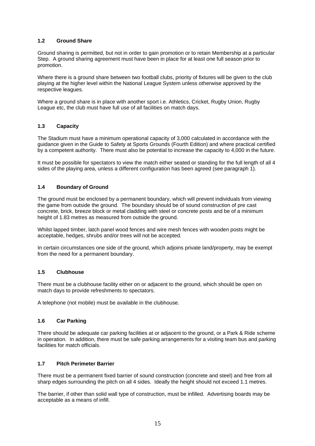#### **1.2 Ground Share**

Ground sharing is permitted, but not in order to gain promotion or to retain Membership at a particular Step. A ground sharing agreement must have been in place for at least one full season prior to promotion.

Where there is a ground share between two football clubs, priority of fixtures will be given to the club playing at the higher level within the National League System unless otherwise approved by the respective leagues.

Where a ground share is in place with another sport i.e. Athletics, Cricket, Rugby Union, Rugby League etc, the club must have full use of all facilities on match days.

#### **1.3 Capacity**

The Stadium must have a minimum operational capacity of 3,000 calculated in accordance with the guidance given in the Guide to Safety at Sports Grounds (Fourth Edition) and where practical certified by a competent authority. There must also be potential to increase the capacity to 4,000 in the future.

It must be possible for spectators to view the match either seated or standing for the full length of all 4 sides of the playing area, unless a different configuration has been agreed (see paragraph 1).

#### **1.4 Boundary of Ground**

The ground must be enclosed by a permanent boundary, which will prevent individuals from viewing the game from outside the ground. The boundary should be of sound construction of pre cast concrete, brick, breeze block or metal cladding with steel or concrete posts and be of a minimum height of 1.83 metres as measured from outside the ground.

Whilst lapped timber, latch panel wood fences and wire mesh fences with wooden posts might be acceptable, hedges, shrubs and/or trees will not be accepted.

In certain circumstances one side of the ground, which adjoins private land/property, may be exempt from the need for a permanent boundary.

#### **1.5 Clubhouse**

There must be a clubhouse facility either on or adjacent to the ground, which should be open on match days to provide refreshments to spectators.

A telephone (not mobile) must be available in the clubhouse.

#### **1.6 Car Parking**

There should be adequate car parking facilities at or adjacent to the ground, or a Park & Ride scheme in operation. In addition, there must be safe parking arrangements for a visiting team bus and parking facilities for match officials.

#### **1.7 Pitch Perimeter Barrier**

There must be a permanent fixed barrier of sound construction (concrete and steel) and free from all sharp edges surrounding the pitch on all 4 sides. Ideally the height should not exceed 1.1 metres.

The barrier, if other than solid wall type of construction, must be infilled. Advertising boards may be acceptable as a means of infill.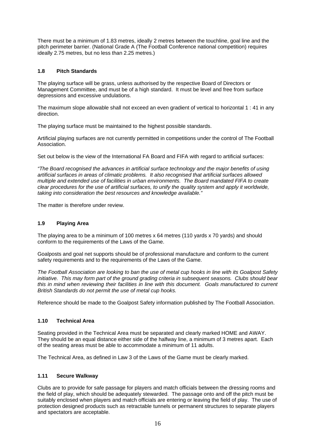There must be a minimum of 1.83 metres, ideally 2 metres between the touchline, goal line and the pitch perimeter barrier. (National Grade A (The Football Conference national competition) requires ideally 2.75 metres, but no less than 2.25 metres.)

#### **1.8 Pitch Standards**

The playing surface will be grass, unless authorised by the respective Board of Directors or Management Committee, and must be of a high standard. It must be level and free from surface depressions and excessive undulations.

The maximum slope allowable shall not exceed an even gradient of vertical to horizontal 1 : 41 in any direction.

The playing surface must be maintained to the highest possible standards.

Artificial playing surfaces are not currently permitted in competitions under the control of The Football Association.

Set out below is the view of the International FA Board and FIFA with regard to artificial surfaces:

*"The Board recognised the advances in artificial surface technology and the major benefits of using artificial surfaces in areas of climatic problems. It also recognised that artificial surfaces allowed multiple and extended use of facilities in urban environments. The Board mandated FIFA to create clear procedures for the use of artificial surfaces, to unify the quality system and apply it worldwide, taking into consideration the best resources and knowledge available."* 

The matter is therefore under review.

#### **1.9 Playing Area**

The playing area to be a minimum of 100 metres x 64 metres (110 yards x 70 yards) and should conform to the requirements of the Laws of the Game.

Goalposts and goal net supports should be of professional manufacture and conform to the current safety requirements and to the requirements of the Laws of the Game.

*The Football Association are looking to ban the use of metal cup hooks in line with its Goalpost Safety initiative. This may form part of the ground grading criteria in subsequent seasons. Clubs should bear this in mind when reviewing their facilities in line with this document. Goals manufactured to current British Standards do not permit the use of metal cup hooks.* 

Reference should be made to the Goalpost Safety information published by The Football Association.

#### **1.10 Technical Area**

Seating provided in the Technical Area must be separated and clearly marked HOME and AWAY. They should be an equal distance either side of the halfway line, a minimum of 3 metres apart. Each of the seating areas must be able to accommodate a minimum of 11 adults.

The Technical Area, as defined in Law 3 of the Laws of the Game must be clearly marked.

#### **1.11 Secure Walkway**

Clubs are to provide for safe passage for players and match officials between the dressing rooms and the field of play, which should be adequately stewarded. The passage onto and off the pitch must be suitably enclosed when players and match officials are entering or leaving the field of play. The use of protection designed products such as retractable tunnels or permanent structures to separate players and spectators are acceptable.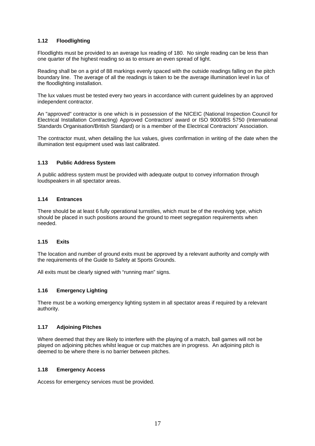#### **1.12 Floodlighting**

Floodlights must be provided to an average lux reading of 180. No single reading can be less than one quarter of the highest reading so as to ensure an even spread of light.

Reading shall be on a grid of 88 markings evenly spaced with the outside readings falling on the pitch boundary line. The average of all the readings is taken to be the average illumination level in lux of the floodlighting installation.

The lux values must be tested every two years in accordance with current guidelines by an approved independent contractor.

An "approved" contractor is one which is in possession of the NICEIC (National Inspection Council for Electrical Installation Contracting) Approved Contractors' award or ISO 9000/BS 5750 (International Standards Organisation/British Standard) or is a member of the Electrical Contractors' Association.

The contractor must, when detailing the lux values, gives confirmation in writing of the date when the illumination test equipment used was last calibrated.

#### **1.13 Public Address System**

A public address system must be provided with adequate output to convey information through loudspeakers in all spectator areas.

#### **1.14 Entrances**

There should be at least 6 fully operational turnstiles, which must be of the revolving type, which should be placed in such positions around the ground to meet segregation requirements when needed.

#### **1.15 Exits**

The location and number of ground exits must be approved by a relevant authority and comply with the requirements of the Guide to Safety at Sports Grounds.

All exits must be clearly signed with "running man" signs.

#### **1.16 Emergency Lighting**

There must be a working emergency lighting system in all spectator areas if required by a relevant authority.

#### **1.17 Adjoining Pitches**

Where deemed that they are likely to interfere with the playing of a match, ball games will not be played on adjoining pitches whilst league or cup matches are in progress. An adjoining pitch is deemed to be where there is no barrier between pitches.

#### **1.18 Emergency Access**

Access for emergency services must be provided.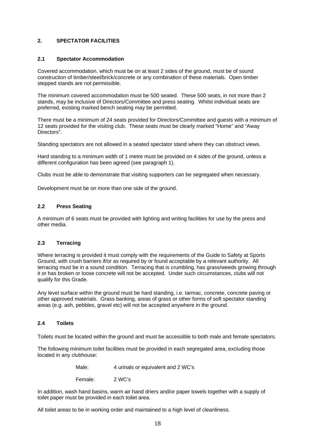#### **2. SPECTATOR FACILITIES**

#### **2.1 Spectator Accommodation**

Covered accommodation, which must be on at least 2 sides of the ground, must be of sound construction of timber/steel/brick/concrete or any combination of these materials. Open timber stepped stands are not permissible.

The minimum covered accommodation must be 500 seated. These 500 seats, in not more than 2 stands, may be inclusive of Directors/Committee and press seating. Whilst individual seats are preferred, existing marked bench seating may be permitted.

There must be a minimum of 24 seats provided for Directors/Committee and guests with a minimum of 12 seats provided for the visiting club. These seats must be clearly marked "Home" and "Away Directors".

Standing spectators are not allowed in a seated spectator stand where they can obstruct views.

Hard standing to a minimum width of 1 metre must be provided on 4 sides of the ground, unless a different configuration has been agreed (see paragraph 1).

Clubs must be able to demonstrate that visiting supporters can be segregated when necessary.

Development must be on more than one side of the ground.

#### **2.2 Press Seating**

A minimum of 6 seats must be provided with lighting and writing facilities for use by the press and other media.

#### **2.3 Terracing**

Where terracing is provided it must comply with the requirements of the Guide to Safety at Sports Ground, with crush barriers if/or as required by or found acceptable by a relevant authority. All terracing must be in a sound condition. Terracing that is crumbling, has grass/weeds growing through it or has broken or loose concrete will not be accepted. Under such circumstances, clubs will not qualify for this Grade.

Any level surface within the ground must be hard standing, i.e. tarmac, concrete, concrete paving or other approved materials. Grass banking, areas of grass or other forms of soft spectator standing areas (e.g. ash, pebbles, gravel etc) will not be accepted anywhere in the ground.

#### **2.4 Toilets**

Toilets must be located within the ground and must be accessible to both male and female spectators.

The following minimum toilet facilities must be provided in each segregated area, excluding those located in any clubhouse:

Female: 2 WC's

In addition, wash hand basins, warm air hand driers and/or paper towels together with a supply of toilet paper must be provided in each toilet area.

All toilet areas to be in working order and maintained to a high level of cleanliness.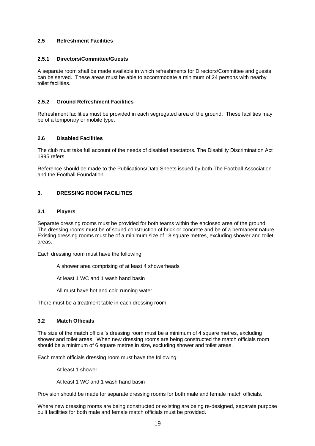#### **2.5 Refreshment Facilities**

#### **2.5.1 Directors/Committee/Guests**

A separate room shall be made available in which refreshments for Directors/Committee and guests can be served. These areas must be able to accommodate a minimum of 24 persons with nearby toilet facilities.

#### **2.5.2 Ground Refreshment Facilities**

Refreshment facilities must be provided in each segregated area of the ground. These facilities may be of a temporary or mobile type.

#### **2.6 Disabled Facilities**

The club must take full account of the needs of disabled spectators. The Disability Discrimination Act 1995 refers.

Reference should be made to the Publications/Data Sheets issued by both The Football Association and the Football Foundation.

#### **3. DRESSING ROOM FACILITIES**

#### **3.1 Players**

Separate dressing rooms must be provided for both teams within the enclosed area of the ground. The dressing rooms must be of sound construction of brick or concrete and be of a permanent nature. Existing dressing rooms must be of a minimum size of 18 square metres, excluding shower and toilet areas.

Each dressing room must have the following:

A shower area comprising of at least 4 showerheads

At least 1 WC and 1 wash hand basin

All must have hot and cold running water

There must be a treatment table in each dressing room.

#### **3.2 Match Officials**

The size of the match official's dressing room must be a minimum of 4 square metres, excluding shower and toilet areas. When new dressing rooms are being constructed the match officials room should be a minimum of 6 square metres in size, excluding shower and toilet areas.

Each match officials dressing room must have the following:

At least 1 shower

At least 1 WC and 1 wash hand basin

Provision should be made for separate dressing rooms for both male and female match officials.

Where new dressing rooms are being constructed or existing are being re-designed, separate purpose built facilities for both male and female match officials must be provided.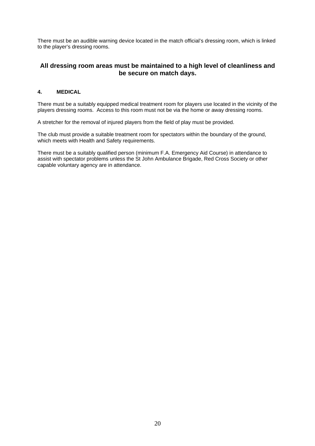There must be an audible warning device located in the match official's dressing room, which is linked to the player's dressing rooms.

### **All dressing room areas must be maintained to a high level of cleanliness and be secure on match days.**

#### **4. MEDICAL**

There must be a suitably equipped medical treatment room for players use located in the vicinity of the players dressing rooms. Access to this room must not be via the home or away dressing rooms.

A stretcher for the removal of injured players from the field of play must be provided.

The club must provide a suitable treatment room for spectators within the boundary of the ground, which meets with Health and Safety requirements.

There must be a suitably qualified person (minimum F.A. Emergency Aid Course) in attendance to assist with spectator problems unless the St John Ambulance Brigade, Red Cross Society or other capable voluntary agency are in attendance.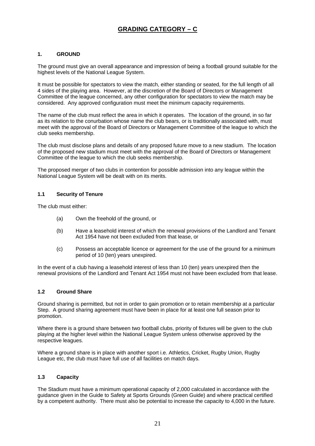# **GRADING CATEGORY – C**

#### **1. GROUND**

The ground must give an overall appearance and impression of being a football ground suitable for the highest levels of the National League System.

It must be possible for spectators to view the match, either standing or seated, for the full length of all 4 sides of the playing area. However, at the discretion of the Board of Directors or Management Committee of the league concerned, any other configuration for spectators to view the match may be considered. Any approved configuration must meet the minimum capacity requirements.

The name of the club must reflect the area in which it operates. The location of the ground, in so far as its relation to the conurbation whose name the club bears, or is traditionally associated with, must meet with the approval of the Board of Directors or Management Committee of the league to which the club seeks membership.

The club must disclose plans and details of any proposed future move to a new stadium. The location of the proposed new stadium must meet with the approval of the Board of Directors or Management Committee of the league to which the club seeks membership.

The proposed merger of two clubs in contention for possible admission into any league within the National League System will be dealt with on its merits.

#### **1.1 Security of Tenure**

The club must either:

- (a) Own the freehold of the ground, or
- (b) Have a leasehold interest of which the renewal provisions of the Landlord and Tenant Act 1954 have not been excluded from that lease, or
- (c) Possess an acceptable licence or agreement for the use of the ground for a minimum period of 10 (ten) years unexpired.

In the event of a club having a leasehold interest of less than 10 (ten) years unexpired then the renewal provisions of the Landlord and Tenant Act 1954 must not have been excluded from that lease.

#### **1.2 Ground Share**

Ground sharing is permitted, but not in order to gain promotion or to retain membership at a particular Step. A ground sharing agreement must have been in place for at least one full season prior to promotion.

Where there is a ground share between two football clubs, priority of fixtures will be given to the club playing at the higher level within the National League System unless otherwise approved by the respective leagues.

Where a ground share is in place with another sport i.e. Athletics, Cricket, Rugby Union, Rugby League etc, the club must have full use of all facilities on match days.

#### **1.3 Capacity**

The Stadium must have a minimum operational capacity of 2,000 calculated in accordance with the guidance given in the Guide to Safety at Sports Grounds (Green Guide) and where practical certified by a competent authority. There must also be potential to increase the capacity to 4,000 in the future.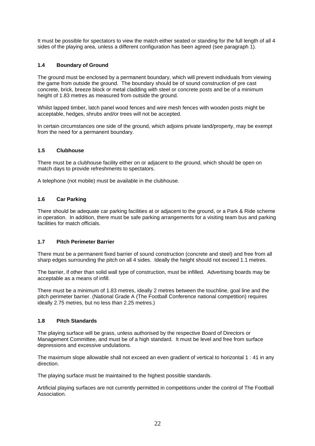It must be possible for spectators to view the match either seated or standing for the full length of all 4 sides of the playing area, unless a different configuration has been agreed (see paragraph 1).

#### **1.4 Boundary of Ground**

The ground must be enclosed by a permanent boundary, which will prevent individuals from viewing the game from outside the ground. The boundary should be of sound construction of pre cast concrete, brick, breeze block or metal cladding with steel or concrete posts and be of a minimum height of 1.83 metres as measured from outside the ground.

Whilst lapped timber, latch panel wood fences and wire mesh fences with wooden posts might be acceptable, hedges, shrubs and/or trees will not be accepted.

In certain circumstances one side of the ground, which adjoins private land/property, may be exempt from the need for a permanent boundary.

#### **1.5 Clubhouse**

There must be a clubhouse facility either on or adjacent to the ground, which should be open on match days to provide refreshments to spectators.

A telephone (not mobile) must be available in the clubhouse.

#### **1.6 Car Parking**

There should be adequate car parking facilities at or adjacent to the ground, or a Park & Ride scheme in operation. In addition, there must be safe parking arrangements for a visiting team bus and parking facilities for match officials.

#### **1.7 Pitch Perimeter Barrier**

There must be a permanent fixed barrier of sound construction (concrete and steel) and free from all sharp edges surrounding the pitch on all 4 sides. Ideally the height should not exceed 1.1 metres.

The barrier, if other than solid wall type of construction, must be infilled. Advertising boards may be acceptable as a means of infill.

There must be a minimum of 1.83 metres, ideally 2 metres between the touchline, goal line and the pitch perimeter barrier. (National Grade A (The Football Conference national competition) requires ideally 2.75 metres, but no less than 2.25 metres.)

#### **1.8 Pitch Standards**

The playing surface will be grass, unless authorised by the respective Board of Directors or Management Committee, and must be of a high standard. It must be level and free from surface depressions and excessive undulations.

The maximum slope allowable shall not exceed an even gradient of vertical to horizontal 1 : 41 in any direction.

The playing surface must be maintained to the highest possible standards.

Artificial playing surfaces are not currently permitted in competitions under the control of The Football Association.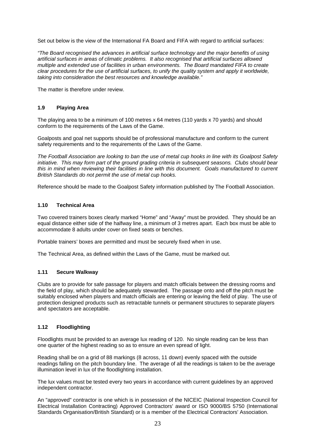Set out below is the view of the International FA Board and FIFA with regard to artificial surfaces:

*"The Board recognised the advances in artificial surface technology and the major benefits of using artificial surfaces in areas of climatic problems. It also recognised that artificial surfaces allowed multiple and extended use of facilities in urban environments. The Board mandated FIFA to create clear procedures for the use of artificial surfaces, to unify the quality system and apply it worldwide, taking into consideration the best resources and knowledge available."* 

The matter is therefore under review.

#### **1.9 Playing Area**

The playing area to be a minimum of 100 metres x 64 metres (110 yards x 70 yards) and should conform to the requirements of the Laws of the Game.

Goalposts and goal net supports should be of professional manufacture and conform to the current safety requirements and to the requirements of the Laws of the Game.

*The Football Association are looking to ban the use of metal cup hooks in line with its Goalpost Safety initiative. This may form part of the ground grading criteria in subsequent seasons. Clubs should bear this in mind when reviewing their facilities in line with this document. Goals manufactured to current British Standards do not permit the use of metal cup hooks.* 

Reference should be made to the Goalpost Safety information published by The Football Association.

#### **1.10 Technical Area**

Two covered trainers boxes clearly marked "Home" and "Away" must be provided. They should be an equal distance either side of the halfway line, a minimum of 3 metres apart. Each box must be able to accommodate 8 adults under cover on fixed seats or benches.

Portable trainers' boxes are permitted and must be securely fixed when in use.

The Technical Area, as defined within the Laws of the Game, must be marked out.

#### **1.11 Secure Walkway**

Clubs are to provide for safe passage for players and match officials between the dressing rooms and the field of play, which should be adequately stewarded. The passage onto and off the pitch must be suitably enclosed when players and match officials are entering or leaving the field of play. The use of protection designed products such as retractable tunnels or permanent structures to separate players and spectators are acceptable.

#### **1.12 Floodlighting**

Floodlights must be provided to an average lux reading of 120. No single reading can be less than one quarter of the highest reading so as to ensure an even spread of light.

Reading shall be on a grid of 88 markings (8 across, 11 down) evenly spaced with the outside readings falling on the pitch boundary line. The average of all the readings is taken to be the average illumination level in lux of the floodlighting installation.

The lux values must be tested every two years in accordance with current guidelines by an approved independent contractor.

An "approved" contractor is one which is in possession of the NICEIC (National Inspection Council for Electrical Installation Contracting) Approved Contractors' award or ISO 9000/BS 5750 (International Standards Organisation/British Standard) or is a member of the Electrical Contractors' Association.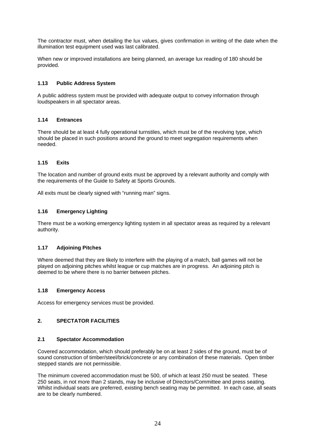The contractor must, when detailing the lux values, gives confirmation in writing of the date when the illumination test equipment used was last calibrated.

When new or improved installations are being planned, an average lux reading of 180 should be provided.

#### **1.13 Public Address System**

A public address system must be provided with adequate output to convey information through loudspeakers in all spectator areas.

#### **1.14 Entrances**

There should be at least 4 fully operational turnstiles, which must be of the revolving type, which should be placed in such positions around the ground to meet segregation requirements when needed.

#### **1.15 Exits**

The location and number of ground exits must be approved by a relevant authority and comply with the requirements of the Guide to Safety at Sports Grounds.

All exits must be clearly signed with "running man" signs.

#### **1.16 Emergency Lighting**

There must be a working emergency lighting system in all spectator areas as required by a relevant authority.

#### **1.17 Adjoining Pitches**

Where deemed that they are likely to interfere with the playing of a match, ball games will not be played on adjoining pitches whilst league or cup matches are in progress. An adjoining pitch is deemed to be where there is no barrier between pitches.

#### **1.18 Emergency Access**

Access for emergency services must be provided.

#### **2. SPECTATOR FACILITIES**

#### **2.1 Spectator Accommodation**

Covered accommodation, which should preferably be on at least 2 sides of the ground, must be of sound construction of timber/steel/brick/concrete or any combination of these materials. Open timber stepped stands are not permissible.

The minimum covered accommodation must be 500, of which at least 250 must be seated. These 250 seats, in not more than 2 stands, may be inclusive of Directors/Committee and press seating. Whilst individual seats are preferred, existing bench seating may be permitted. In each case, all seats are to be clearly numbered.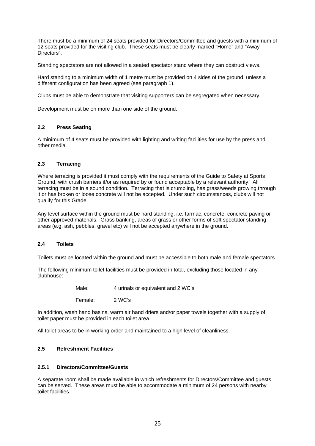There must be a minimum of 24 seats provided for Directors/Committee and guests with a minimum of 12 seats provided for the visiting club. These seats must be clearly marked "Home" and "Away Directors".

Standing spectators are not allowed in a seated spectator stand where they can obstruct views.

Hard standing to a minimum width of 1 metre must be provided on 4 sides of the ground, unless a different configuration has been agreed (see paragraph 1).

Clubs must be able to demonstrate that visiting supporters can be segregated when necessary.

Development must be on more than one side of the ground.

#### **2.2 Press Seating**

A minimum of 4 seats must be provided with lighting and writing facilities for use by the press and other media.

#### **2.3 Terracing**

Where terracing is provided it must comply with the requirements of the Guide to Safety at Sports Ground, with crush barriers if/or as required by or found acceptable by a relevant authority. All terracing must be in a sound condition. Terracing that is crumbling, has grass/weeds growing through it or has broken or loose concrete will not be accepted. Under such circumstances, clubs will not qualify for this Grade.

Any level surface within the ground must be hard standing, i.e. tarmac, concrete, concrete paving or other approved materials. Grass banking, areas of grass or other forms of soft spectator standing areas (e.g. ash, pebbles, gravel etc) will not be accepted anywhere in the ground.

#### **2.4 Toilets**

Toilets must be located within the ground and must be accessible to both male and female spectators.

The following minimum toilet facilities must be provided in total, excluding those located in any clubhouse:

> Male: 4 urinals or equivalent and 2 WC's Female: 2 WC's

In addition, wash hand basins, warm air hand driers and/or paper towels together with a supply of toilet paper must be provided in each toilet area.

All toilet areas to be in working order and maintained to a high level of cleanliness.

#### **2.5 Refreshment Facilities**

#### **2.5.1 Directors/Committee/Guests**

A separate room shall be made available in which refreshments for Directors/Committee and guests can be served. These areas must be able to accommodate a minimum of 24 persons with nearby toilet facilities.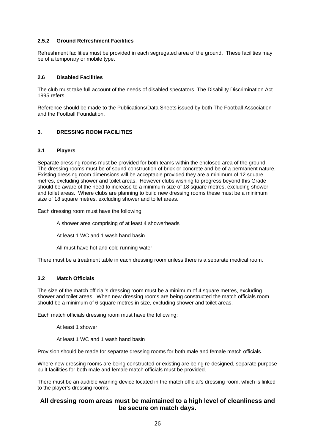#### **2.5.2 Ground Refreshment Facilities**

Refreshment facilities must be provided in each segregated area of the ground. These facilities may be of a temporary or mobile type.

#### **2.6 Disabled Facilities**

The club must take full account of the needs of disabled spectators. The Disability Discrimination Act 1995 refers.

Reference should be made to the Publications/Data Sheets issued by both The Football Association and the Football Foundation.

#### **3. DRESSING ROOM FACILITIES**

#### **3.1 Players**

Separate dressing rooms must be provided for both teams within the enclosed area of the ground. The dressing rooms must be of sound construction of brick or concrete and be of a permanent nature. Existing dressing room dimensions will be acceptable provided they are a minimum of 12 square metres, excluding shower and toilet areas. However clubs wishing to progress beyond this Grade should be aware of the need to increase to a minimum size of 18 square metres, excluding shower and toilet areas. Where clubs are planning to build new dressing rooms these must be a minimum size of 18 square metres, excluding shower and toilet areas.

Each dressing room must have the following:

A shower area comprising of at least 4 showerheads

At least 1 WC and 1 wash hand basin

All must have hot and cold running water

There must be a treatment table in each dressing room unless there is a separate medical room.

#### **3.2 Match Officials**

The size of the match official's dressing room must be a minimum of 4 square metres, excluding shower and toilet areas. When new dressing rooms are being constructed the match officials room should be a minimum of 6 square metres in size, excluding shower and toilet areas.

Each match officials dressing room must have the following:

At least 1 shower

At least 1 WC and 1 wash hand basin

Provision should be made for separate dressing rooms for both male and female match officials.

Where new dressing rooms are being constructed or existing are being re-designed, separate purpose built facilities for both male and female match officials must be provided.

There must be an audible warning device located in the match official's dressing room, which is linked to the player's dressing rooms.

### **All dressing room areas must be maintained to a high level of cleanliness and be secure on match days.**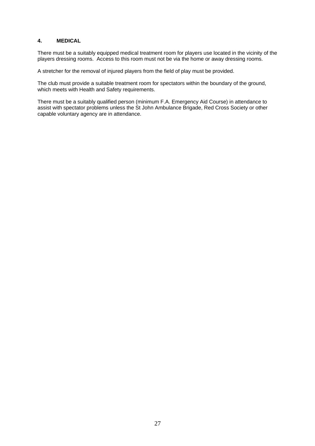#### **4. MEDICAL**

There must be a suitably equipped medical treatment room for players use located in the vicinity of the players dressing rooms. Access to this room must not be via the home or away dressing rooms.

A stretcher for the removal of injured players from the field of play must be provided.

The club must provide a suitable treatment room for spectators within the boundary of the ground, which meets with Health and Safety requirements.

There must be a suitably qualified person (minimum F.A. Emergency Aid Course) in attendance to assist with spectator problems unless the St John Ambulance Brigade, Red Cross Society or other capable voluntary agency are in attendance.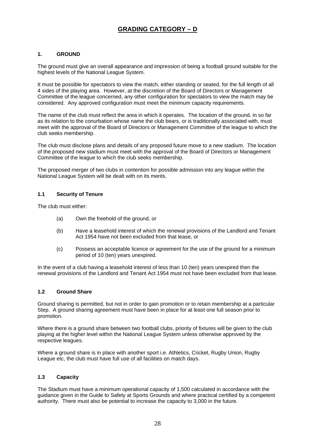# **GRADING CATEGORY – D**

#### **1. GROUND**

The ground must give an overall appearance and impression of being a football ground suitable for the highest levels of the National League System.

It must be possible for spectators to view the match, either standing or seated, for the full length of all 4 sides of the playing area. However, at the discretion of the Board of Directors or Management Committee of the league concerned, any other configuration for spectators to view the match may be considered. Any approved configuration must meet the minimum capacity requirements.

The name of the club must reflect the area in which it operates. The location of the ground, in so far as its relation to the conurbation whose name the club bears, or is traditionally associated with, must meet with the approval of the Board of Directors or Management Committee of the league to which the club seeks membership.

The club must disclose plans and details of any proposed future move to a new stadium. The location of the proposed new stadium must meet with the approval of the Board of Directors or Management Committee of the league to which the club seeks membership.

The proposed merger of two clubs in contention for possible admission into any league within the National League System will be dealt with on its merits.

#### **1.1 Security of Tenure**

The club must either:

- (a) Own the freehold of the ground, or
- (b) Have a leasehold interest of which the renewal provisions of the Landlord and Tenant Act 1954 have not been excluded from that lease, or
- (c) Possess an acceptable licence or agreement for the use of the ground for a minimum period of 10 (ten) years unexpired.

In the event of a club having a leasehold interest of less than 10 (ten) years unexpired then the renewal provisions of the Landlord and Tenant Act 1954 must not have been excluded from that lease.

#### **1.2 Ground Share**

Ground sharing is permitted, but not in order to gain promotion or to retain membership at a particular Step. A ground sharing agreement must have been in place for at least one full season prior to promotion.

Where there is a ground share between two football clubs, priority of fixtures will be given to the club playing at the higher level within the National League System unless otherwise approved by the respective leagues.

Where a ground share is in place with another sport i.e. Athletics, Cricket, Rugby Union, Rugby League etc, the club must have full use of all facilities on match days.

#### **1.3 Capacity**

The Stadium must have a minimum operational capacity of 1,500 calculated in accordance with the guidance given in the Guide to Safety at Sports Grounds and where practical certified by a competent authority. There must also be potential to increase the capacity to 3,000 in the future.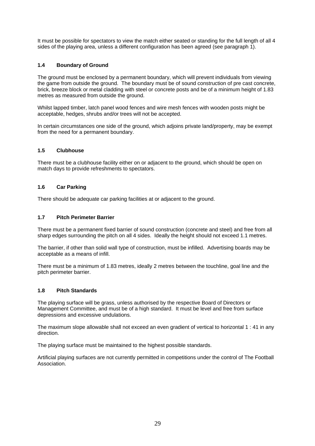It must be possible for spectators to view the match either seated or standing for the full length of all 4 sides of the playing area, unless a different configuration has been agreed (see paragraph 1).

#### **1.4 Boundary of Ground**

The ground must be enclosed by a permanent boundary, which will prevent individuals from viewing the game from outside the ground. The boundary must be of sound construction of pre cast concrete, brick, breeze block or metal cladding with steel or concrete posts and be of a minimum height of 1.83 metres as measured from outside the ground.

Whilst lapped timber, latch panel wood fences and wire mesh fences with wooden posts might be acceptable, hedges, shrubs and/or trees will not be accepted.

In certain circumstances one side of the ground, which adjoins private land/property, may be exempt from the need for a permanent boundary.

#### **1.5 Clubhouse**

There must be a clubhouse facility either on or adjacent to the ground, which should be open on match days to provide refreshments to spectators.

#### **1.6 Car Parking**

There should be adequate car parking facilities at or adjacent to the ground.

#### **1.7 Pitch Perimeter Barrier**

There must be a permanent fixed barrier of sound construction (concrete and steel) and free from all sharp edges surrounding the pitch on all 4 sides. Ideally the height should not exceed 1.1 metres.

The barrier, if other than solid wall type of construction, must be infilled. Advertising boards may be acceptable as a means of infill.

There must be a minimum of 1.83 metres, ideally 2 metres between the touchline, goal line and the pitch perimeter barrier.

#### **1.8 Pitch Standards**

The playing surface will be grass, unless authorised by the respective Board of Directors or Management Committee, and must be of a high standard. It must be level and free from surface depressions and excessive undulations.

The maximum slope allowable shall not exceed an even gradient of vertical to horizontal 1 : 41 in any direction.

The playing surface must be maintained to the highest possible standards.

Artificial playing surfaces are not currently permitted in competitions under the control of The Football Association.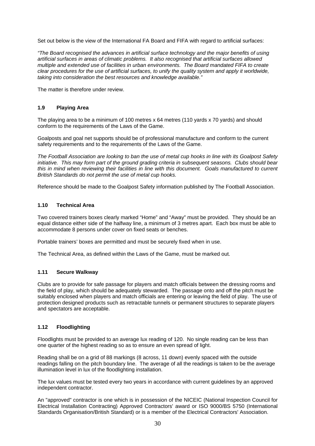Set out below is the view of the International FA Board and FIFA with regard to artificial surfaces:

*"The Board recognised the advances in artificial surface technology and the major benefits of using artificial surfaces in areas of climatic problems. It also recognised that artificial surfaces allowed multiple and extended use of facilities in urban environments. The Board mandated FIFA to create clear procedures for the use of artificial surfaces, to unify the quality system and apply it worldwide, taking into consideration the best resources and knowledge available."* 

The matter is therefore under review.

#### **1.9 Playing Area**

The playing area to be a minimum of 100 metres x 64 metres (110 yards x 70 yards) and should conform to the requirements of the Laws of the Game.

Goalposts and goal net supports should be of professional manufacture and conform to the current safety requirements and to the requirements of the Laws of the Game.

*The Football Association are looking to ban the use of metal cup hooks in line with its Goalpost Safety initiative. This may form part of the ground grading criteria in subsequent seasons. Clubs should bear this in mind when reviewing their facilities in line with this document. Goals manufactured to current British Standards do not permit the use of metal cup hooks.* 

Reference should be made to the Goalpost Safety information published by The Football Association.

#### **1.10 Technical Area**

Two covered trainers boxes clearly marked "Home" and "Away" must be provided. They should be an equal distance either side of the halfway line, a minimum of 3 metres apart. Each box must be able to accommodate 8 persons under cover on fixed seats or benches.

Portable trainers' boxes are permitted and must be securely fixed when in use.

The Technical Area, as defined within the Laws of the Game, must be marked out.

#### **1.11 Secure Walkway**

Clubs are to provide for safe passage for players and match officials between the dressing rooms and the field of play, which should be adequately stewarded. The passage onto and off the pitch must be suitably enclosed when players and match officials are entering or leaving the field of play. The use of protection designed products such as retractable tunnels or permanent structures to separate players and spectators are acceptable.

#### **1.12 Floodlighting**

Floodlights must be provided to an average lux reading of 120. No single reading can be less than one quarter of the highest reading so as to ensure an even spread of light.

Reading shall be on a grid of 88 markings (8 across, 11 down) evenly spaced with the outside readings falling on the pitch boundary line. The average of all the readings is taken to be the average illumination level in lux of the floodlighting installation.

The lux values must be tested every two years in accordance with current guidelines by an approved independent contractor.

An "approved" contractor is one which is in possession of the NICEIC (National Inspection Council for Electrical Installation Contracting) Approved Contractors' award or ISO 9000/BS 5750 (International Standards Organisation/British Standard) or is a member of the Electrical Contractors' Association.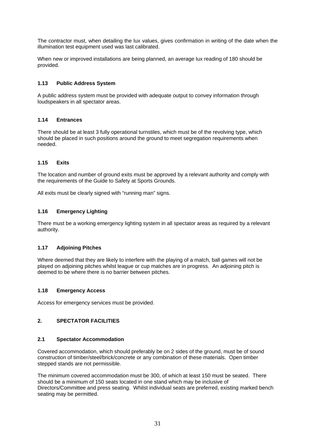The contractor must, when detailing the lux values, gives confirmation in writing of the date when the illumination test equipment used was last calibrated.

When new or improved installations are being planned, an average lux reading of 180 should be provided.

#### **1.13 Public Address System**

A public address system must be provided with adequate output to convey information through loudspeakers in all spectator areas.

#### **1.14 Entrances**

There should be at least 3 fully operational turnstiles, which must be of the revolving type, which should be placed in such positions around the ground to meet segregation requirements when needed.

#### **1.15 Exits**

The location and number of ground exits must be approved by a relevant authority and comply with the requirements of the Guide to Safety at Sports Grounds.

All exits must be clearly signed with "running man" signs.

#### **1.16 Emergency Lighting**

There must be a working emergency lighting system in all spectator areas as required by a relevant authority.

#### **1.17 Adjoining Pitches**

Where deemed that they are likely to interfere with the playing of a match, ball games will not be played on adjoining pitches whilst league or cup matches are in progress. An adjoining pitch is deemed to be where there is no barrier between pitches.

#### **1.18 Emergency Access**

Access for emergency services must be provided.

#### **2. SPECTATOR FACILITIES**

#### **2.1 Spectator Accommodation**

Covered accommodation, which should preferably be on 2 sides of the ground, must be of sound construction of timber/steel/brick/concrete or any combination of these materials. Open timber stepped stands are not permissible.

The minimum covered accommodation must be 300, of which at least 150 must be seated. There should be a minimum of 150 seats located in one stand which may be inclusive of Directors/Committee and press seating. Whilst individual seats are preferred, existing marked bench seating may be permitted.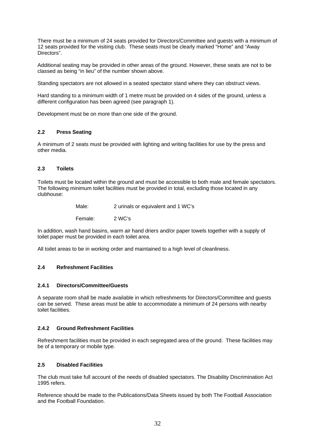There must be a minimum of 24 seats provided for Directors/Committee and guests with a minimum of 12 seats provided for the visiting club. These seats must be clearly marked "Home" and "Away Directors".

Additional seating may be provided in other areas of the ground. However, these seats are not to be classed as being "in lieu" of the number shown above.

Standing spectators are not allowed in a seated spectator stand where they can obstruct views.

Hard standing to a minimum width of 1 metre must be provided on 4 sides of the ground, unless a different configuration has been agreed (see paragraph 1).

Development must be on more than one side of the ground.

#### **2.2 Press Seating**

A minimum of 2 seats must be provided with lighting and writing facilities for use by the press and other media.

#### **2.3 Toilets**

Toilets must be located within the ground and must be accessible to both male and female spectators. The following minimum toilet facilities must be provided in total, excluding those located in any clubhouse:

| Male: | 2 urinals or equivalent and 1 WC's |
|-------|------------------------------------|
|       |                                    |

Female: 2 WC's

In addition, wash hand basins, warm air hand driers and/or paper towels together with a supply of toilet paper must be provided in each toilet area.

All toilet areas to be in working order and maintained to a high level of cleanliness.

#### **2.4 Refreshment Facilities**

#### **2.4.1 Directors/Committee/Guests**

A separate room shall be made available in which refreshments for Directors/Committee and guests can be served. These areas must be able to accommodate a minimum of 24 persons with nearby toilet facilities.

#### **2.4.2 Ground Refreshment Facilities**

Refreshment facilities must be provided in each segregated area of the ground. These facilities may be of a temporary or mobile type.

#### **2.5 Disabled Facilities**

The club must take full account of the needs of disabled spectators. The Disability Discrimination Act 1995 refers.

Reference should be made to the Publications/Data Sheets issued by both The Football Association and the Football Foundation.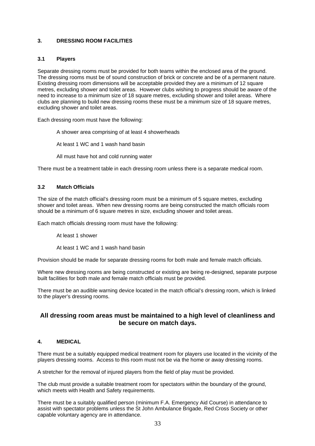#### **3. DRESSING ROOM FACILITIES**

#### **3.1 Players**

Separate dressing rooms must be provided for both teams within the enclosed area of the ground. The dressing rooms must be of sound construction of brick or concrete and be of a permanent nature. Existing dressing room dimensions will be acceptable provided they are a minimum of 12 square metres, excluding shower and toilet areas. However clubs wishing to progress should be aware of the need to increase to a minimum size of 18 square metres, excluding shower and toilet areas. Where clubs are planning to build new dressing rooms these must be a minimum size of 18 square metres, excluding shower and toilet areas.

Each dressing room must have the following:

A shower area comprising of at least 4 showerheads

At least 1 WC and 1 wash hand basin

All must have hot and cold running water

There must be a treatment table in each dressing room unless there is a separate medical room.

#### **3.2 Match Officials**

The size of the match official's dressing room must be a minimum of 5 square metres, excluding shower and toilet areas. When new dressing rooms are being constructed the match officials room should be a minimum of 6 square metres in size, excluding shower and toilet areas.

Each match officials dressing room must have the following:

At least 1 shower

At least 1 WC and 1 wash hand basin

Provision should be made for separate dressing rooms for both male and female match officials.

Where new dressing rooms are being constructed or existing are being re-designed, separate purpose built facilities for both male and female match officials must be provided.

There must be an audible warning device located in the match official's dressing room, which is linked to the player's dressing rooms.

#### **All dressing room areas must be maintained to a high level of cleanliness and be secure on match days.**

#### **4. MEDICAL**

There must be a suitably equipped medical treatment room for players use located in the vicinity of the players dressing rooms. Access to this room must not be via the home or away dressing rooms.

A stretcher for the removal of injured players from the field of play must be provided.

The club must provide a suitable treatment room for spectators within the boundary of the ground, which meets with Health and Safety requirements.

There must be a suitably qualified person (minimum F.A. Emergency Aid Course) in attendance to assist with spectator problems unless the St John Ambulance Brigade, Red Cross Society or other capable voluntary agency are in attendance.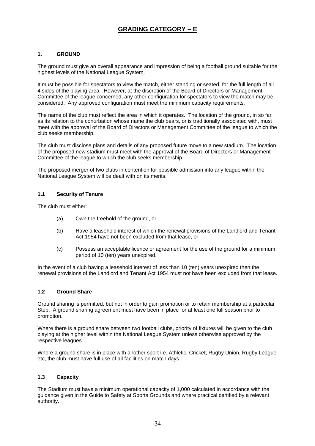# **GRADING CATEGORY – E**

#### **1. GROUND**

The ground must give an overall appearance and impression of being a football ground suitable for the highest levels of the National League System.

It must be possible for spectators to view the match, either standing or seated, for the full length of all 4 sides of the playing area. However, at the discretion of the Board of Directors or Management Committee of the league concerned, any other configuration for spectators to view the match may be considered. Any approved configuration must meet the minimum capacity requirements.

The name of the club must reflect the area in which it operates. The location of the ground, in so far as its relation to the conurbation whose name the club bears, or is traditionally associated with, must meet with the approval of the Board of Directors or Management Committee of the league to which the club seeks membership.

The club must disclose plans and details of any proposed future move to a new stadium. The location of the proposed new stadium must meet with the approval of the Board of Directors or Management Committee of the league to which the club seeks membership.

The proposed merger of two clubs in contention for possible admission into any league within the National League System will be dealt with on its merits.

#### **1.1 Security of Tenure**

The club must either:

- (a) Own the freehold of the ground, or
- (b) Have a leasehold interest of which the renewal provisions of the Landlord and Tenant Act 1954 have not been excluded from that lease, or
- (c) Possess an acceptable licence or agreement for the use of the ground for a minimum period of 10 (ten) years unexpired.

In the event of a club having a leasehold interest of less than 10 (ten) years unexpired then the renewal provisions of the Landlord and Tenant Act 1954 must not have been excluded from that lease.

#### **1.2 Ground Share**

Ground sharing is permitted, but not in order to gain promotion or to retain membership at a particular Step. A ground sharing agreement must have been in place for at least one full season prior to promotion.

Where there is a ground share between two football clubs, priority of fixtures will be given to the club playing at the higher level within the National League System unless otherwise approved by the respective leagues.

Where a ground share is in place with another sport i.e. Athletic, Cricket, Rugby Union, Rugby League etc, the club must have full use of all facilities on match days.

#### **1.3 Capacity**

The Stadium must have a minimum operational capacity of 1,000 calculated in accordance with the guidance given in the Guide to Safety at Sports Grounds and where practical certified by a relevant authority.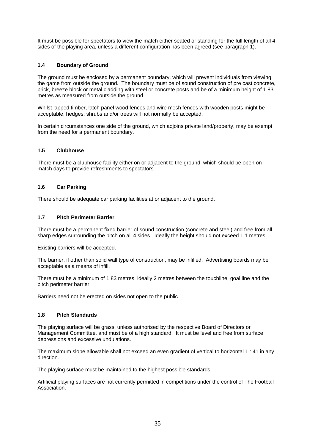It must be possible for spectators to view the match either seated or standing for the full length of all 4 sides of the playing area, unless a different configuration has been agreed (see paragraph 1).

#### **1.4 Boundary of Ground**

The ground must be enclosed by a permanent boundary, which will prevent individuals from viewing the game from outside the ground. The boundary must be of sound construction of pre cast concrete, brick, breeze block or metal cladding with steel or concrete posts and be of a minimum height of 1.83 metres as measured from outside the ground.

Whilst lapped timber, latch panel wood fences and wire mesh fences with wooden posts might be acceptable, hedges, shrubs and/or trees will not normally be accepted.

In certain circumstances one side of the ground, which adjoins private land/property, may be exempt from the need for a permanent boundary.

#### **1.5 Clubhouse**

There must be a clubhouse facility either on or adjacent to the ground, which should be open on match days to provide refreshments to spectators.

#### **1.6 Car Parking**

There should be adequate car parking facilities at or adjacent to the ground.

#### **1.7 Pitch Perimeter Barrier**

There must be a permanent fixed barrier of sound construction (concrete and steel) and free from all sharp edges surrounding the pitch on all 4 sides. Ideally the height should not exceed 1.1 metres.

Existing barriers will be accepted.

The barrier, if other than solid wall type of construction, may be infilled. Advertising boards may be acceptable as a means of infill.

There must be a minimum of 1.83 metres, ideally 2 metres between the touchline, goal line and the pitch perimeter barrier.

Barriers need not be erected on sides not open to the public.

#### **1.8 Pitch Standards**

The playing surface will be grass, unless authorised by the respective Board of Directors or Management Committee, and must be of a high standard. It must be level and free from surface depressions and excessive undulations.

The maximum slope allowable shall not exceed an even gradient of vertical to horizontal 1 : 41 in any direction.

The playing surface must be maintained to the highest possible standards.

Artificial playing surfaces are not currently permitted in competitions under the control of The Football Association.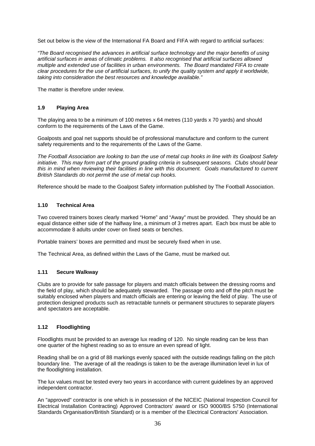Set out below is the view of the International FA Board and FIFA with regard to artificial surfaces:

*"The Board recognised the advances in artificial surface technology and the major benefits of using artificial surfaces in areas of climatic problems. It also recognised that artificial surfaces allowed multiple and extended use of facilities in urban environments. The Board mandated FIFA to create clear procedures for the use of artificial surfaces, to unify the quality system and apply it worldwide, taking into consideration the best resources and knowledge available."* 

The matter is therefore under review.

#### **1.9 Playing Area**

The playing area to be a minimum of 100 metres x 64 metres (110 yards x 70 yards) and should conform to the requirements of the Laws of the Game.

Goalposts and goal net supports should be of professional manufacture and conform to the current safety requirements and to the requirements of the Laws of the Game.

*The Football Association are looking to ban the use of metal cup hooks in line with its Goalpost Safety initiative. This may form part of the ground grading criteria in subsequent seasons. Clubs should bear this in mind when reviewing their facilities in line with this document. Goals manufactured to current British Standards do not permit the use of metal cup hooks.* 

Reference should be made to the Goalpost Safety information published by The Football Association.

#### **1.10 Technical Area**

Two covered trainers boxes clearly marked "Home" and "Away" must be provided. They should be an equal distance either side of the halfway line, a minimum of 3 metres apart. Each box must be able to accommodate 8 adults under cover on fixed seats or benches.

Portable trainers' boxes are permitted and must be securely fixed when in use.

The Technical Area, as defined within the Laws of the Game, must be marked out.

#### **1.11 Secure Walkway**

Clubs are to provide for safe passage for players and match officials between the dressing rooms and the field of play, which should be adequately stewarded. The passage onto and off the pitch must be suitably enclosed when players and match officials are entering or leaving the field of play. The use of protection designed products such as retractable tunnels or permanent structures to separate players and spectators are acceptable.

#### **1.12 Floodlighting**

Floodlights must be provided to an average lux reading of 120. No single reading can be less than one quarter of the highest reading so as to ensure an even spread of light.

Reading shall be on a grid of 88 markings evenly spaced with the outside readings falling on the pitch boundary line. The average of all the readings is taken to be the average illumination level in lux of the floodlighting installation.

The lux values must be tested every two years in accordance with current guidelines by an approved independent contractor.

An "approved" contractor is one which is in possession of the NICEIC (National Inspection Council for Electrical Installation Contracting) Approved Contractors' award or ISO 9000/BS 5750 (International Standards Organisation/British Standard) or is a member of the Electrical Contractors' Association.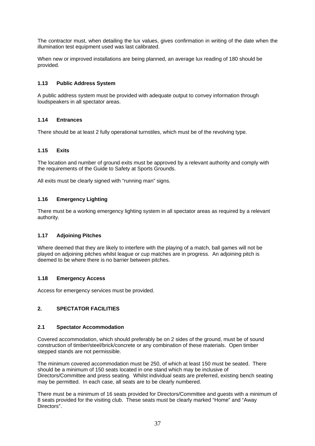The contractor must, when detailing the lux values, gives confirmation in writing of the date when the illumination test equipment used was last calibrated.

When new or improved installations are being planned, an average lux reading of 180 should be provided.

#### **1.13 Public Address System**

A public address system must be provided with adequate output to convey information through loudspeakers in all spectator areas.

#### **1.14 Entrances**

There should be at least 2 fully operational turnstiles, which must be of the revolving type.

#### **1.15 Exits**

The location and number of ground exits must be approved by a relevant authority and comply with the requirements of the Guide to Safety at Sports Grounds.

All exits must be clearly signed with "running man" signs.

#### **1.16 Emergency Lighting**

There must be a working emergency lighting system in all spectator areas as required by a relevant authority.

#### **1.17 Adjoining Pitches**

Where deemed that they are likely to interfere with the playing of a match, ball games will not be played on adjoining pitches whilst league or cup matches are in progress. An adjoining pitch is deemed to be where there is no barrier between pitches.

#### **1.18 Emergency Access**

Access for emergency services must be provided.

#### **2. SPECTATOR FACILITIES**

#### **2.1 Spectator Accommodation**

Covered accommodation, which should preferably be on 2 sides of the ground, must be of sound construction of timber/steel/brick/concrete or any combination of these materials. Open timber stepped stands are not permissible.

The minimum covered accommodation must be 250, of which at least 150 must be seated. There should be a minimum of 150 seats located in one stand which may be inclusive of Directors/Committee and press seating. Whilst individual seats are preferred, existing bench seating may be permitted. In each case, all seats are to be clearly numbered.

There must be a minimum of 16 seats provided for Directors/Committee and guests with a minimum of 8 seats provided for the visiting club. These seats must be clearly marked "Home" and "Away Directors".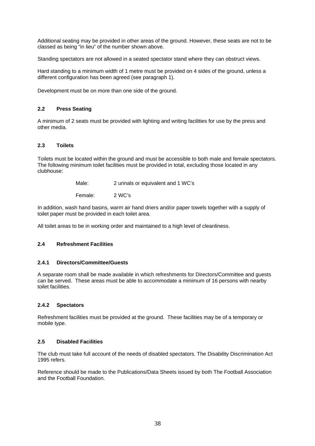Additional seating may be provided in other areas of the ground. However, these seats are not to be classed as being "in lieu" of the number shown above.

Standing spectators are not allowed in a seated spectator stand where they can obstruct views.

Hard standing to a minimum width of 1 metre must be provided on 4 sides of the ground, unless a different configuration has been agreed (see paragraph 1).

Development must be on more than one side of the ground.

#### **2.2 Press Seating**

A minimum of 2 seats must be provided with lighting and writing facilities for use by the press and other media.

#### **2.3 Toilets**

Toilets must be located within the ground and must be accessible to both male and female spectators. The following minimum toilet facilities must be provided in total, excluding those located in any clubhouse:

Male: 2 urinals or equivalent and 1 WC's

Female: 2 WC's

In addition, wash hand basins, warm air hand driers and/or paper towels together with a supply of toilet paper must be provided in each toilet area.

All toilet areas to be in working order and maintained to a high level of cleanliness.

#### **2.4 Refreshment Facilities**

#### **2.4.1 Directors/Committee/Guests**

A separate room shall be made available in which refreshments for Directors/Committee and guests can be served. These areas must be able to accommodate a minimum of 16 persons with nearby toilet facilities.

#### **2.4.2 Spectators**

Refreshment facilities must be provided at the ground. These facilities may be of a temporary or mobile type.

#### **2.5 Disabled Facilities**

The club must take full account of the needs of disabled spectators. The Disability Discrimination Act 1995 refers.

Reference should be made to the Publications/Data Sheets issued by both The Football Association and the Football Foundation.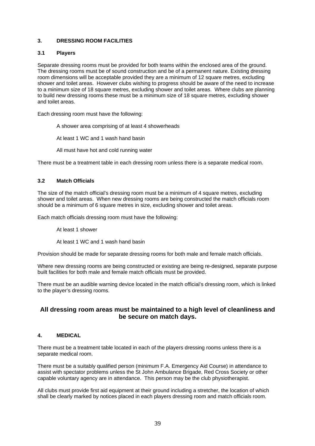#### **3. DRESSING ROOM FACILITIES**

#### **3.1 Players**

Separate dressing rooms must be provided for both teams within the enclosed area of the ground. The dressing rooms must be of sound construction and be of a permanent nature. Existing dressing room dimensions will be acceptable provided they are a minimum of 12 square metres, excluding shower and toilet areas. However clubs wishing to progress should be aware of the need to increase to a minimum size of 18 square metres, excluding shower and toilet areas. Where clubs are planning to build new dressing rooms these must be a minimum size of 18 square metres, excluding shower and toilet areas.

Each dressing room must have the following:

A shower area comprising of at least 4 showerheads

At least 1 WC and 1 wash hand basin

All must have hot and cold running water

There must be a treatment table in each dressing room unless there is a separate medical room.

#### **3.2 Match Officials**

The size of the match official's dressing room must be a minimum of 4 square metres, excluding shower and toilet areas. When new dressing rooms are being constructed the match officials room should be a minimum of 6 square metres in size, excluding shower and toilet areas.

Each match officials dressing room must have the following:

At least 1 shower

At least 1 WC and 1 wash hand basin

Provision should be made for separate dressing rooms for both male and female match officials.

Where new dressing rooms are being constructed or existing are being re-designed, separate purpose built facilities for both male and female match officials must be provided.

There must be an audible warning device located in the match official's dressing room, which is linked to the player's dressing rooms.

#### **All dressing room areas must be maintained to a high level of cleanliness and be secure on match days.**

#### **4. MEDICAL**

There must be a treatment table located in each of the players dressing rooms unless there is a separate medical room.

There must be a suitably qualified person (minimum F.A. Emergency Aid Course) in attendance to assist with spectator problems unless the St John Ambulance Brigade, Red Cross Society or other capable voluntary agency are in attendance. This person may be the club physiotherapist.

All clubs must provide first aid equipment at their ground including a stretcher, the location of which shall be clearly marked by notices placed in each players dressing room and match officials room.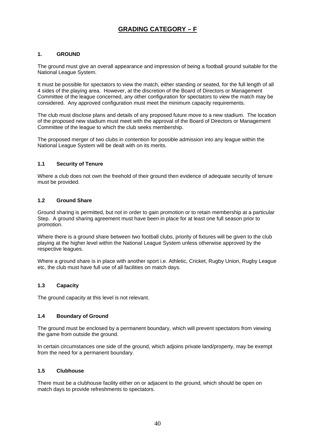# **GRADING CATEGORY – F**

#### **1. GROUND**

The ground must give an overall appearance and impression of being a football ground suitable for the National League System.

It must be possible for spectators to view the match, either standing or seated, for the full length of all 4 sides of the playing area. However, at the discretion of the Board of Directors or Management Committee of the league concerned, any other configuration for spectators to view the match may be considered. Any approved configuration must meet the minimum capacity requirements.

The club must disclose plans and details of any proposed future move to a new stadium. The location of the proposed new stadium must meet with the approval of the Board of Directors or Management Committee of the league to which the club seeks membership.

The proposed merger of two clubs in contention for possible admission into any league within the National League System will be dealt with on its merits.

#### **1.1 Security of Tenure**

Where a club does not own the freehold of their ground then evidence of adequate security of tenure must be provided.

#### **1.2 Ground Share**

Ground sharing is permitted, but not in order to gain promotion or to retain membership at a particular Step. A ground sharing agreement must have been in place for at least one full season prior to promotion.

Where there is a ground share between two football clubs, priority of fixtures will be given to the club playing at the higher level within the National League System unless otherwise approved by the respective leagues.

Where a ground share is in place with another sport i.e. Athletic, Cricket, Rugby Union, Rugby League etc, the club must have full use of all facilities on match days.

#### **1.3 Capacity**

The ground capacity at this level is not relevant.

#### **1.4 Boundary of Ground**

The ground must be enclosed by a permanent boundary, which will prevent spectators from viewing the game from outside the ground.

In certain circumstances one side of the ground, which adjoins private land/property, may be exempt from the need for a permanent boundary.

#### **1.5 Clubhouse**

There must be a clubhouse facility either on or adjacent to the ground, which should be open on match days to provide refreshments to spectators.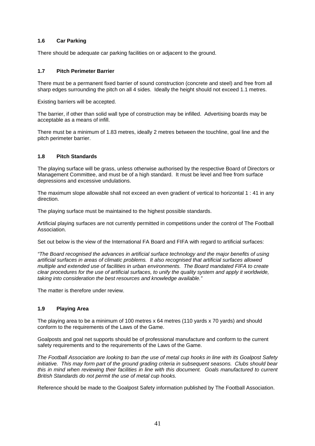#### **1.6 Car Parking**

There should be adequate car parking facilities on or adjacent to the ground.

#### **1.7 Pitch Perimeter Barrier**

There must be a permanent fixed barrier of sound construction (concrete and steel) and free from all sharp edges surrounding the pitch on all 4 sides. Ideally the height should not exceed 1.1 metres.

Existing barriers will be accepted.

The barrier, if other than solid wall type of construction may be infilled. Advertising boards may be acceptable as a means of infill.

There must be a minimum of 1.83 metres, ideally 2 metres between the touchline, goal line and the pitch perimeter barrier.

#### **1.8 Pitch Standards**

The playing surface will be grass, unless otherwise authorised by the respective Board of Directors or Management Committee, and must be of a high standard. It must be level and free from surface depressions and excessive undulations.

The maximum slope allowable shall not exceed an even gradient of vertical to horizontal 1 : 41 in any direction.

The playing surface must be maintained to the highest possible standards.

Artificial playing surfaces are not currently permitted in competitions under the control of The Football Association.

Set out below is the view of the International FA Board and FIFA with regard to artificial surfaces:

*"The Board recognised the advances in artificial surface technology and the major benefits of using artificial surfaces in areas of climatic problems. It also recognised that artificial surfaces allowed multiple and extended use of facilities in urban environments. The Board mandated FIFA to create clear procedures for the use of artificial surfaces, to unify the quality system and apply it worldwide, taking into consideration the best resources and knowledge available."* 

The matter is therefore under review.

#### **1.9 Playing Area**

The playing area to be a minimum of 100 metres x 64 metres (110 yards x 70 yards) and should conform to the requirements of the Laws of the Game.

Goalposts and goal net supports should be of professional manufacture and conform to the current safety requirements and to the requirements of the Laws of the Game.

*The Football Association are looking to ban the use of metal cup hooks in line with its Goalpost Safety initiative. This may form part of the ground grading criteria in subsequent seasons. Clubs should bear this in mind when reviewing their facilities in line with this document. Goals manufactured to current British Standards do not permit the use of metal cup hooks.* 

Reference should be made to the Goalpost Safety information published by The Football Association.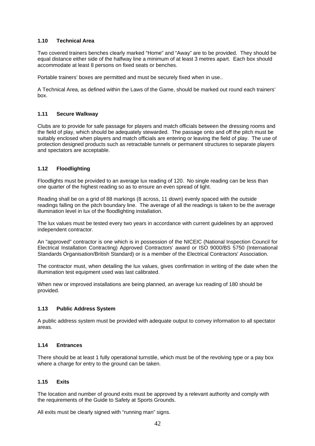#### **1.10 Technical Area**

Two covered trainers benches clearly marked "Home" and "Away" are to be provided. They should be equal distance either side of the halfway line a minimum of at least 3 metres apart. Each box should accommodate at least 8 persons on fixed seats or benches.

Portable trainers' boxes are permitted and must be securely fixed when in use..

A Technical Area, as defined within the Laws of the Game, should be marked out round each trainers' box.

#### **1.11 Secure Walkway**

Clubs are to provide for safe passage for players and match officials between the dressing rooms and the field of play, which should be adequately stewarded. The passage onto and off the pitch must be suitably enclosed when players and match officials are entering or leaving the field of play. The use of protection designed products such as retractable tunnels or permanent structures to separate players and spectators are acceptable.

#### **1.12 Floodlighting**

Floodlights must be provided to an average lux reading of 120. No single reading can be less than one quarter of the highest reading so as to ensure an even spread of light.

Reading shall be on a grid of 88 markings (8 across, 11 down) evenly spaced with the outside readings falling on the pitch boundary line. The average of all the readings is taken to be the average illumination level in lux of the floodlighting installation.

The lux values must be tested every two years in accordance with current guidelines by an approved independent contractor.

An "approved" contractor is one which is in possession of the NICEIC (National Inspection Council for Electrical Installation Contracting) Approved Contractors' award or ISO 9000/BS 5750 (International Standards Organisation/British Standard) or is a member of the Electrical Contractors' Association.

The contractor must, when detailing the lux values, gives confirmation in writing of the date when the illumination test equipment used was last calibrated.

When new or improved installations are being planned, an average lux reading of 180 should be provided.

#### **1.13 Public Address System**

A public address system must be provided with adequate output to convey information to all spectator areas.

#### **1.14 Entrances**

There should be at least 1 fully operational turnstile, which must be of the revolving type or a pay box where a charge for entry to the ground can be taken.

#### **1.15 Exits**

The location and number of ground exits must be approved by a relevant authority and comply with the requirements of the Guide to Safety at Sports Grounds.

All exits must be clearly signed with "running man" signs.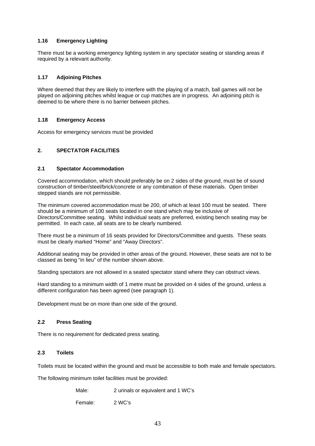#### **1.16 Emergency Lighting**

There must be a working emergency lighting system in any spectator seating or standing areas if required by a relevant authority.

#### **1.17 Adjoining Pitches**

Where deemed that they are likely to interfere with the playing of a match, ball games will not be played on adjoining pitches whilst league or cup matches are in progress. An adjoining pitch is deemed to be where there is no barrier between pitches.

#### **1.18 Emergency Access**

Access for emergency services must be provided

#### **2. SPECTATOR FACILITIES**

#### **2.1 Spectator Accommodation**

Covered accommodation, which should preferably be on 2 sides of the ground, must be of sound construction of timber/steel/brick/concrete or any combination of these materials. Open timber stepped stands are not permissible.

The minimum covered accommodation must be 200, of which at least 100 must be seated. There should be a minimum of 100 seats located in one stand which may be inclusive of Directors/Committee seating. Whilst individual seats are preferred, existing bench seating may be permitted. In each case, all seats are to be clearly numbered.

There must be a minimum of 16 seats provided for Directors/Committee and guests. These seats must be clearly marked "Home" and "Away Directors".

Additional seating may be provided in other areas of the ground. However, these seats are not to be classed as being "in lieu" of the number shown above.

Standing spectators are not allowed in a seated spectator stand where they can obstruct views.

Hard standing to a minimum width of 1 metre must be provided on 4 sides of the ground, unless a different configuration has been agreed (see paragraph 1).

Development must be on more than one side of the ground.

#### **2.2 Press Seating**

There is no requirement for dedicated press seating.

#### **2.3 Toilets**

Toilets must be located within the ground and must be accessible to both male and female spectators.

The following minimum toilet facilities must be provided:

| Male:   | 2 urinals or equivalent and 1 WC's |
|---------|------------------------------------|
| Female: | 2 WC's                             |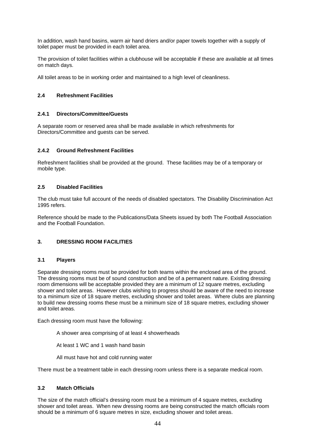In addition, wash hand basins, warm air hand driers and/or paper towels together with a supply of toilet paper must be provided in each toilet area.

The provision of toilet facilities within a clubhouse will be acceptable if these are available at all times on match days.

All toilet areas to be in working order and maintained to a high level of cleanliness.

#### **2.4 Refreshment Facilities**

#### **2.4.1 Directors/Committee/Guests**

A separate room or reserved area shall be made available in which refreshments for Directors/Committee and guests can be served.

#### **2.4.2 Ground Refreshment Facilities**

Refreshment facilities shall be provided at the ground. These facilities may be of a temporary or mobile type.

#### **2.5 Disabled Facilities**

The club must take full account of the needs of disabled spectators. The Disability Discrimination Act 1995 refers.

Reference should be made to the Publications/Data Sheets issued by both The Football Association and the Football Foundation.

#### **3. DRESSING ROOM FACILITIES**

#### **3.1 Players**

Separate dressing rooms must be provided for both teams within the enclosed area of the ground. The dressing rooms must be of sound construction and be of a permanent nature. Existing dressing room dimensions will be acceptable provided they are a minimum of 12 square metres, excluding shower and toilet areas. However clubs wishing to progress should be aware of the need to increase to a minimum size of 18 square metres, excluding shower and toilet areas. Where clubs are planning to build new dressing rooms these must be a minimum size of 18 square metres, excluding shower and toilet areas.

Each dressing room must have the following:

A shower area comprising of at least 4 showerheads

At least 1 WC and 1 wash hand basin

All must have hot and cold running water

There must be a treatment table in each dressing room unless there is a separate medical room.

#### **3.2 Match Officials**

The size of the match official's dressing room must be a minimum of 4 square metres, excluding shower and toilet areas. When new dressing rooms are being constructed the match officials room should be a minimum of 6 square metres in size, excluding shower and toilet areas.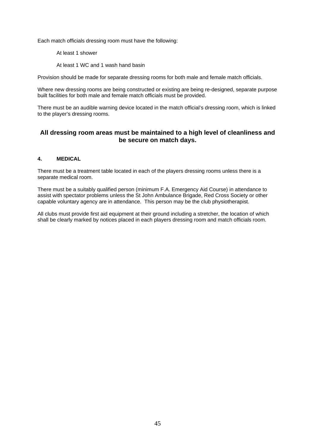Each match officials dressing room must have the following:

At least 1 shower

At least 1 WC and 1 wash hand basin

Provision should be made for separate dressing rooms for both male and female match officials.

Where new dressing rooms are being constructed or existing are being re-designed, separate purpose built facilities for both male and female match officials must be provided.

There must be an audible warning device located in the match official's dressing room, which is linked to the player's dressing rooms.

### **All dressing room areas must be maintained to a high level of cleanliness and be secure on match days.**

#### **4. MEDICAL**

There must be a treatment table located in each of the players dressing rooms unless there is a separate medical room.

There must be a suitably qualified person (minimum F.A. Emergency Aid Course) in attendance to assist with spectator problems unless the St John Ambulance Brigade, Red Cross Society or other capable voluntary agency are in attendance. This person may be the club physiotherapist.

All clubs must provide first aid equipment at their ground including a stretcher, the location of which shall be clearly marked by notices placed in each players dressing room and match officials room.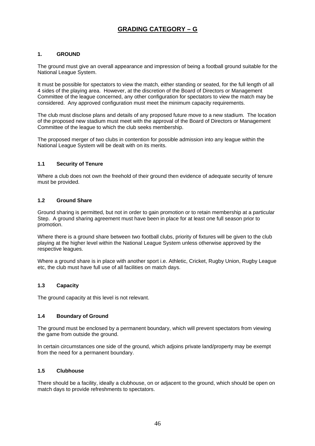# **GRADING CATEGORY – G**

#### **1. GROUND**

The ground must give an overall appearance and impression of being a football ground suitable for the National League System.

It must be possible for spectators to view the match, either standing or seated, for the full length of all 4 sides of the playing area. However, at the discretion of the Board of Directors or Management Committee of the league concerned, any other configuration for spectators to view the match may be considered. Any approved configuration must meet the minimum capacity requirements.

The club must disclose plans and details of any proposed future move to a new stadium. The location of the proposed new stadium must meet with the approval of the Board of Directors or Management Committee of the league to which the club seeks membership.

The proposed merger of two clubs in contention for possible admission into any league within the National League System will be dealt with on its merits.

#### **1.1 Security of Tenure**

Where a club does not own the freehold of their ground then evidence of adequate security of tenure must be provided.

#### **1.2 Ground Share**

Ground sharing is permitted, but not in order to gain promotion or to retain membership at a particular Step. A ground sharing agreement must have been in place for at least one full season prior to promotion.

Where there is a ground share between two football clubs, priority of fixtures will be given to the club playing at the higher level within the National League System unless otherwise approved by the respective leagues.

Where a ground share is in place with another sport i.e. Athletic, Cricket, Rugby Union, Rugby League etc, the club must have full use of all facilities on match days.

#### **1.3 Capacity**

The ground capacity at this level is not relevant.

#### **1.4 Boundary of Ground**

The ground must be enclosed by a permanent boundary, which will prevent spectators from viewing the game from outside the ground.

In certain circumstances one side of the ground, which adjoins private land/property may be exempt from the need for a permanent boundary.

#### **1.5 Clubhouse**

There should be a facility, ideally a clubhouse, on or adjacent to the ground, which should be open on match days to provide refreshments to spectators.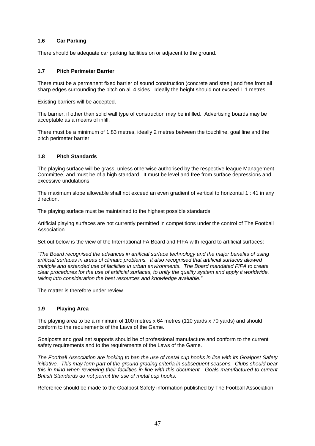#### **1.6 Car Parking**

There should be adequate car parking facilities on or adjacent to the ground.

#### **1.7 Pitch Perimeter Barrier**

There must be a permanent fixed barrier of sound construction (concrete and steel) and free from all sharp edges surrounding the pitch on all 4 sides. Ideally the height should not exceed 1.1 metres.

Existing barriers will be accepted.

The barrier, if other than solid wall type of construction may be infilled. Advertising boards may be acceptable as a means of infill.

There must be a minimum of 1.83 metres, ideally 2 metres between the touchline, goal line and the pitch perimeter barrier.

#### **1.8 Pitch Standards**

The playing surface will be grass, unless otherwise authorised by the respective league Management Committee, and must be of a high standard. It must be level and free from surface depressions and excessive undulations.

The maximum slope allowable shall not exceed an even gradient of vertical to horizontal 1 : 41 in any direction.

The playing surface must be maintained to the highest possible standards.

Artificial playing surfaces are not currently permitted in competitions under the control of The Football Association.

Set out below is the view of the International FA Board and FIFA with regard to artificial surfaces:

*"The Board recognised the advances in artificial surface technology and the major benefits of using artificial surfaces in areas of climatic problems. It also recognised that artificial surfaces allowed multiple and extended use of facilities in urban environments. The Board mandated FIFA to create clear procedures for the use of artificial surfaces, to unify the quality system and apply it worldwide, taking into consideration the best resources and knowledge available."* 

The matter is therefore under review

#### **1.9 Playing Area**

The playing area to be a minimum of 100 metres x 64 metres (110 yards x 70 yards) and should conform to the requirements of the Laws of the Game.

Goalposts and goal net supports should be of professional manufacture and conform to the current safety requirements and to the requirements of the Laws of the Game.

*The Football Association are looking to ban the use of metal cup hooks in line with its Goalpost Safety initiative. This may form part of the ground grading criteria in subsequent seasons. Clubs should bear this in mind when reviewing their facilities in line with this document. Goals manufactured to current British Standards do not permit the use of metal cup hooks.* 

Reference should be made to the Goalpost Safety information published by The Football Association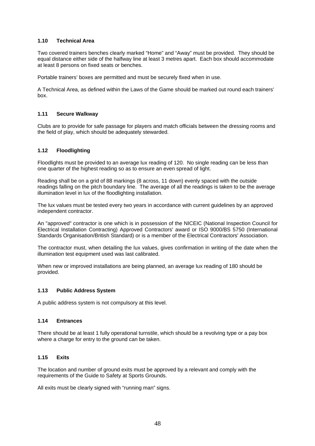#### **1.10 Technical Area**

Two covered trainers benches clearly marked "Home" and "Away" must be provided. They should be equal distance either side of the halfway line at least 3 metres apart. Each box should accommodate at least 8 persons on fixed seats or benches.

Portable trainers' boxes are permitted and must be securely fixed when in use.

A Technical Area, as defined within the Laws of the Game should be marked out round each trainers' box.

#### **1.11 Secure Walkway**

Clubs are to provide for safe passage for players and match officials between the dressing rooms and the field of play, which should be adequately stewarded.

#### **1.12 Floodlighting**

Floodlights must be provided to an average lux reading of 120. No single reading can be less than one quarter of the highest reading so as to ensure an even spread of light.

Reading shall be on a grid of 88 markings (8 across, 11 down) evenly spaced with the outside readings falling on the pitch boundary line. The average of all the readings is taken to be the average illumination level in lux of the floodlighting installation.

The lux values must be tested every two years in accordance with current guidelines by an approved independent contractor.

An "approved" contractor is one which is in possession of the NICEIC (National Inspection Council for Electrical Installation Contracting) Approved Contractors' award or ISO 9000/BS 5750 (International Standards Organisation/British Standard) or is a member of the Electrical Contractors' Association.

The contractor must, when detailing the lux values, gives confirmation in writing of the date when the illumination test equipment used was last calibrated.

When new or improved installations are being planned, an average lux reading of 180 should be provided.

#### **1.13 Public Address System**

A public address system is not compulsory at this level.

#### **1.14 Entrances**

There should be at least 1 fully operational turnstile, which should be a revolving type or a pay box where a charge for entry to the ground can be taken.

#### **1.15 Exits**

The location and number of ground exits must be approved by a relevant and comply with the requirements of the Guide to Safety at Sports Grounds.

All exits must be clearly signed with "running man" signs.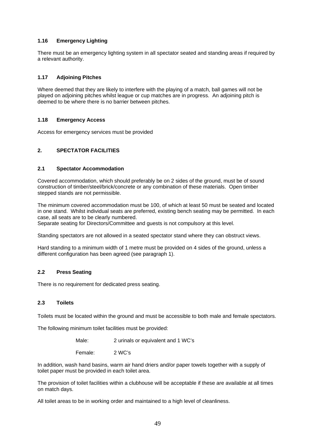#### **1.16 Emergency Lighting**

There must be an emergency lighting system in all spectator seated and standing areas if required by a relevant authority.

#### **1.17 Adjoining Pitches**

Where deemed that they are likely to interfere with the playing of a match, ball games will not be played on adjoining pitches whilst league or cup matches are in progress. An adjoining pitch is deemed to be where there is no barrier between pitches.

#### **1.18 Emergency Access**

Access for emergency services must be provided

#### **2. SPECTATOR FACILITIES**

#### **2.1 Spectator Accommodation**

Covered accommodation, which should preferably be on 2 sides of the ground, must be of sound construction of timber/steel/brick/concrete or any combination of these materials. Open timber stepped stands are not permissible.

The minimum covered accommodation must be 100, of which at least 50 must be seated and located in one stand. Whilst individual seats are preferred, existing bench seating may be permitted. In each case, all seats are to be clearly numbered.

Separate seating for Directors/Committee and guests is not compulsory at this level.

Standing spectators are not allowed in a seated spectator stand where they can obstruct views.

Hard standing to a minimum width of 1 metre must be provided on 4 sides of the ground, unless a different configuration has been agreed (see paragraph 1).

#### **2.2 Press Seating**

There is no requirement for dedicated press seating.

#### **2.3 Toilets**

Toilets must be located within the ground and must be accessible to both male and female spectators.

The following minimum toilet facilities must be provided:

Male: 2 urinals or equivalent and 1 WC's

Female: 2 WC's

In addition, wash hand basins, warm air hand driers and/or paper towels together with a supply of toilet paper must be provided in each toilet area.

The provision of toilet facilities within a clubhouse will be acceptable if these are available at all times on match days.

All toilet areas to be in working order and maintained to a high level of cleanliness.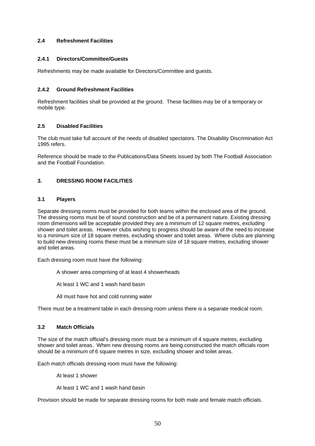#### **2.4 Refreshment Facilities**

#### **2.4.1 Directors/Committee/Guests**

Refreshments may be made available for Directors/Committee and guests.

#### **2.4.2 Ground Refreshment Facilities**

Refreshment facilities shall be provided at the ground. These facilities may be of a temporary or mobile type.

#### **2.5 Disabled Facilities**

The club must take full account of the needs of disabled spectators. The Disability Discrimination Act 1995 refers.

Reference should be made to the Publications/Data Sheets issued by both The Football Association and the Football Foundation.

#### **3. DRESSING ROOM FACILITIES**

#### **3.1 Players**

Separate dressing rooms must be provided for both teams within the enclosed area of the ground. The dressing rooms must be of sound construction and be of a permanent nature. Existing dressing room dimensions will be acceptable provided they are a minimum of 12 square metres, excluding shower and toilet areas. However clubs wishing to progress should be aware of the need to increase to a minimum size of 18 square metres, excluding shower and toilet areas. Where clubs are planning to build new dressing rooms these must be a minimum size of 18 square metres, excluding shower and toilet areas.

Each dressing room must have the following:

A shower area comprising of at least 4 showerheads

At least 1 WC and 1 wash hand basin

All must have hot and cold running water

There must be a treatment table in each dressing room unless there is a separate medical room.

#### **3.2 Match Officials**

The size of the match official's dressing room must be a minimum of 4 square metres, excluding shower and toilet areas. When new dressing rooms are being constructed the match officials room should be a minimum of 6 square metres in size, excluding shower and toilet areas.

Each match officials dressing room must have the following:

At least 1 shower

At least 1 WC and 1 wash hand basin

Provision should be made for separate dressing rooms for both male and female match officials.